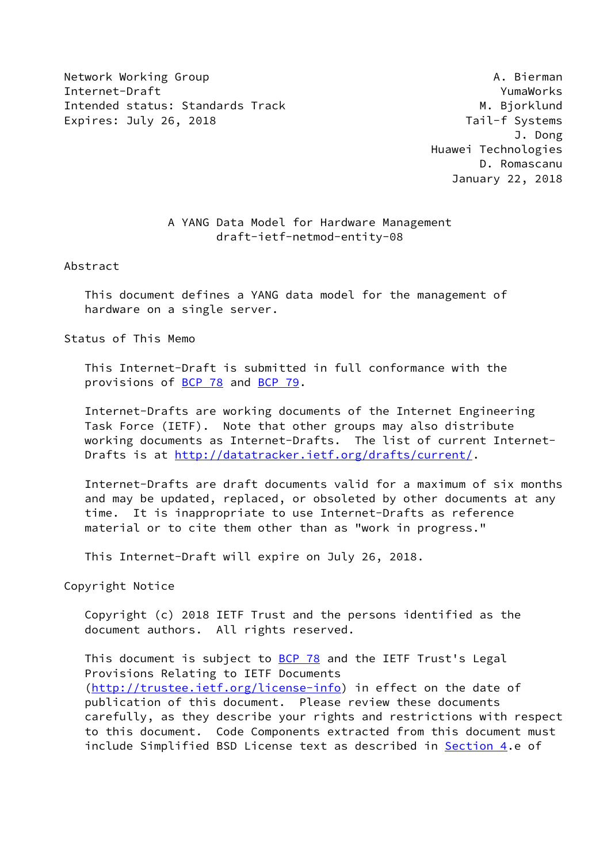Network Working Group **A. Bierman** Internet-Draft YumaWorks Intended status: Standards Track M. Bjorklund Expires: July 26, 2018 Tail-f Systems

 J. Dong Huawei Technologies D. Romascanu January 22, 2018

## A YANG Data Model for Hardware Management draft-ietf-netmod-entity-08

Abstract

 This document defines a YANG data model for the management of hardware on a single server.

Status of This Memo

 This Internet-Draft is submitted in full conformance with the provisions of [BCP 78](https://datatracker.ietf.org/doc/pdf/bcp78) and [BCP 79](https://datatracker.ietf.org/doc/pdf/bcp79).

 Internet-Drafts are working documents of the Internet Engineering Task Force (IETF). Note that other groups may also distribute working documents as Internet-Drafts. The list of current Internet Drafts is at<http://datatracker.ietf.org/drafts/current/>.

 Internet-Drafts are draft documents valid for a maximum of six months and may be updated, replaced, or obsoleted by other documents at any time. It is inappropriate to use Internet-Drafts as reference material or to cite them other than as "work in progress."

This Internet-Draft will expire on July 26, 2018.

Copyright Notice

 Copyright (c) 2018 IETF Trust and the persons identified as the document authors. All rights reserved.

This document is subject to **[BCP 78](https://datatracker.ietf.org/doc/pdf/bcp78)** and the IETF Trust's Legal Provisions Relating to IETF Documents [\(http://trustee.ietf.org/license-info](http://trustee.ietf.org/license-info)) in effect on the date of publication of this document. Please review these documents carefully, as they describe your rights and restrictions with respect to this document. Code Components extracted from this document must include Simplified BSD License text as described in [Section 4.](#page-4-0)e of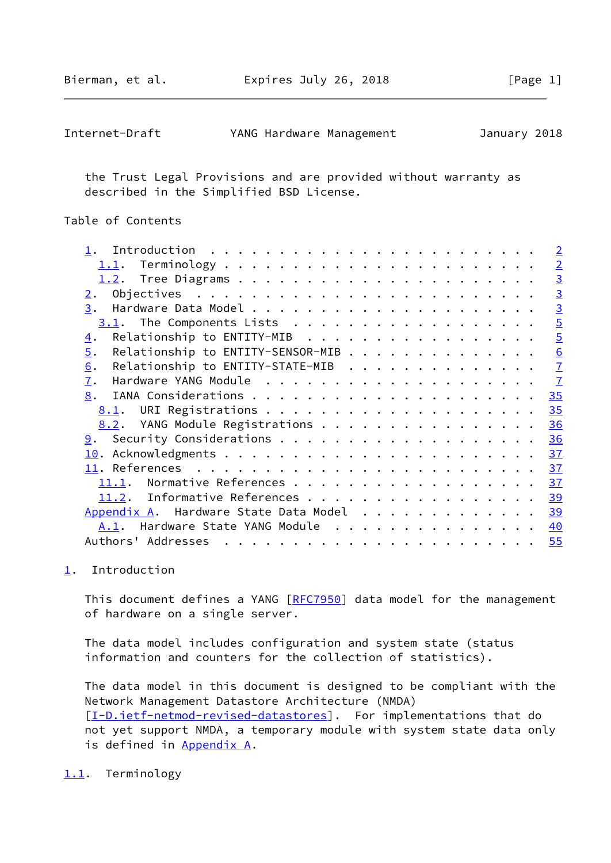<span id="page-1-1"></span>

| Internet-Draft | YANG Hardware Management |  | January 2018 |  |
|----------------|--------------------------|--|--------------|--|
|----------------|--------------------------|--|--------------|--|

 the Trust Legal Provisions and are provided without warranty as described in the Simplified BSD License.

## Table of Contents

|                                                       | $\overline{2}$ |
|-------------------------------------------------------|----------------|
|                                                       | $\overline{2}$ |
|                                                       | $\overline{3}$ |
| $\overline{2}$ .                                      | $\overline{3}$ |
| 3.                                                    | $\overline{3}$ |
|                                                       | $\overline{5}$ |
| Relationship to ENTITY-MIB<br>$\overline{4}$ .        | $\overline{5}$ |
| Relationship to ENTITY-SENSOR-MIB<br>$\overline{5}$ . | 6              |
| Relationship to ENTITY-STATE-MIB<br>6.                | $\overline{1}$ |
| 7.                                                    | $\overline{1}$ |
| 8.                                                    | 35             |
|                                                       | 35             |
| 8.2. YANG Module Registrations                        | 36             |
|                                                       | 36             |
|                                                       | 37             |
|                                                       | 37             |
| 11.1.                                                 | 37             |
| Informative References<br>11.2.                       | 39             |
| Appendix A. Hardware State Data Model                 | 39             |
| A.1. Hardware State YANG Module                       | 40             |
|                                                       | 55             |
|                                                       |                |

#### <span id="page-1-0"></span>[1](#page-1-0). Introduction

This document defines a YANG [\[RFC7950](https://datatracker.ietf.org/doc/pdf/rfc7950)] data model for the management of hardware on a single server.

 The data model includes configuration and system state (status information and counters for the collection of statistics).

 The data model in this document is designed to be compliant with the Network Management Datastore Architecture (NMDA) [\[I-D.ietf-netmod-revised-datastores\]](#page-41-3). For implementations that do not yet support NMDA, a temporary module with system state data only is defined in [Appendix A.](#page-43-2)

<span id="page-1-2"></span>[1.1](#page-1-2). Terminology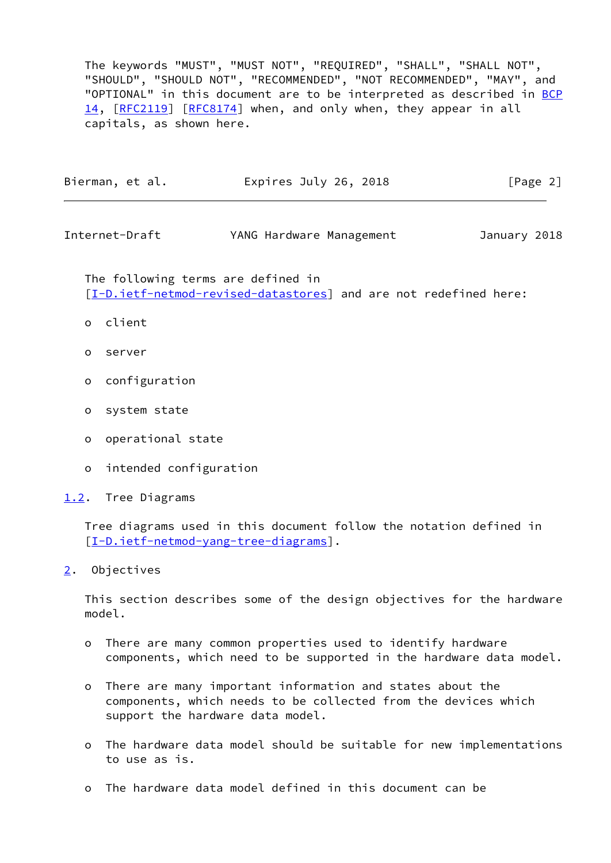The keywords "MUST", "MUST NOT", "REQUIRED", "SHALL", "SHALL NOT", "SHOULD", "SHOULD NOT", "RECOMMENDED", "NOT RECOMMENDED", "MAY", and "OPTIONAL" in this document are to be interpreted as described in [BCP](https://datatracker.ietf.org/doc/pdf/bcp14) [14](https://datatracker.ietf.org/doc/pdf/bcp14), [\[RFC2119](https://datatracker.ietf.org/doc/pdf/rfc2119)] [[RFC8174](https://datatracker.ietf.org/doc/pdf/rfc8174)] when, and only when, they appear in all capitals, as shown here.

| Bierman, et al.<br>Expires July 26, 2018 | [Page 2] |
|------------------------------------------|----------|
|------------------------------------------|----------|

<span id="page-2-1"></span>Internet-Draft YANG Hardware Management January 2018

 The following terms are defined in [\[I-D.ietf-netmod-revised-datastores\]](#page-41-3) and are not redefined here:

- o client
- o server
- o configuration
- o system state
- o operational state
- o intended configuration

<span id="page-2-0"></span>[1.2](#page-2-0). Tree Diagrams

 Tree diagrams used in this document follow the notation defined in [\[I-D.ietf-netmod-yang-tree-diagrams\]](#page-43-3).

<span id="page-2-2"></span>[2](#page-2-2). Objectives

 This section describes some of the design objectives for the hardware model.

- o There are many common properties used to identify hardware components, which need to be supported in the hardware data model.
- o There are many important information and states about the components, which needs to be collected from the devices which support the hardware data model.
- o The hardware data model should be suitable for new implementations to use as is.
- o The hardware data model defined in this document can be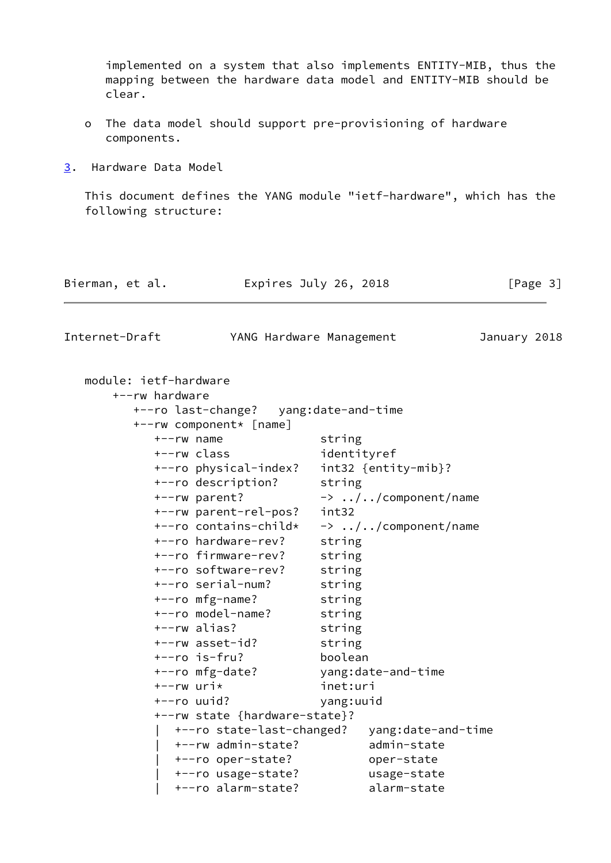implemented on a system that also implements ENTITY-MIB, thus the mapping between the hardware data model and ENTITY-MIB should be clear.

- o The data model should support pre-provisioning of hardware components.
- <span id="page-3-0"></span>[3](#page-3-0). Hardware Data Model

 This document defines the YANG module "ietf-hardware", which has the following structure:

| Bierman, et al. | Expires July 26, 2018 | [Page 3] |
|-----------------|-----------------------|----------|
|                 |                       |          |

Internet-Draft YANG Hardware Management January 2018

| module: ietf-hardware                 |                                |
|---------------------------------------|--------------------------------|
| +--rw hardware                        |                                |
| +--ro last-change? yang:date-and-time |                                |
| +--rw component* [name]               |                                |
| $+--rw$ name                          | string                         |
| +--rw class                           | identityref                    |
| +--ro physical-index?                 | $int32 \{entity-mib\}$ ?       |
| +--ro description?                    | string                         |
| +--rw parent?                         | $\rightarrow$ //component/name |
| +--rw parent-rel-pos?                 | int32                          |
| +--ro contains-child*                 | $\rightarrow$ //component/name |
| +--ro hardware-rev?                   | string                         |
| +--ro firmware-rev?                   | string                         |
| +--ro software-rev?                   | string                         |
| +--ro serial-num?                     | string                         |
| +--ro mfg-name?                       | string                         |
| +--ro model-name?                     | string                         |
| +--rw alias?                          | string                         |
| +--rw asset-id?                       | string                         |
| $+--ro$ is-fru?                       | boolean                        |
| +--ro mfg-date?                       | yang:date-and-time             |
| $+--rw$ uri $*$                       | inet:uri                       |
| +--ro uuid?                           | yang:uuid                      |
| +--rw state {hardware-state}?         |                                |
| +--ro state-last-changed?             | yang:date-and-time             |
| +--rw admin-state?                    | admin-state                    |
| +--ro oper-state?                     | oper-state                     |
| +--ro usage-state?                    | usage-state                    |
| +--ro alarm-state?                    | alarm-state                    |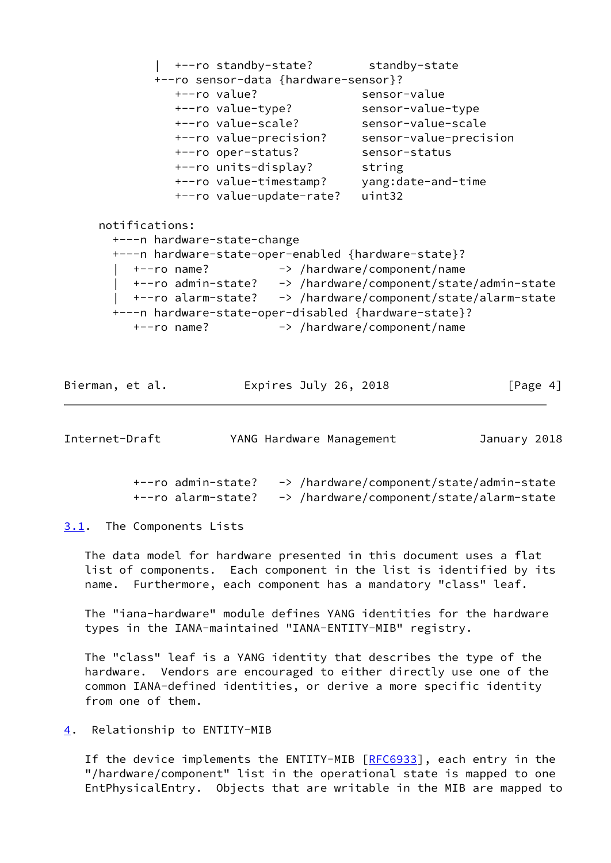| +--ro standby-state? standby-state +--ro sensor-data {hardware-sensor}? +--ro value? sensor-value +--ro value-type? sensor-value-type +--ro value-scale? sensor-value-scale +--ro value-precision? sensor-value-precision +--ro oper-status? sensor-status +--ro units-display? string +--ro value-timestamp? yang:date-and-time +--ro value-update-rate? uint32 notifications: +---n hardware-state-change +---n hardware-state-oper-enabled {hardware-state}? | +--ro name? -> /hardware/component/name | +--ro admin-state? -> /hardware/component/state/admin-state | +--ro alarm-state? -> /hardware/component/state/alarm-state +---n hardware-state-oper-disabled {hardware-state}? +--ro name? -> /hardware/component/name

Bierman, et al. Expires July 26, 2018 [Page 4]

<span id="page-4-2"></span>

| Internet-Draft |                                          | YANG Hardware Management                                                             | January 2018 |  |
|----------------|------------------------------------------|--------------------------------------------------------------------------------------|--------------|--|
|                | +--ro admin-state?<br>+--ro alarm-state? | -> /hardware/component/state/admin-state<br>-> /hardware/component/state/alarm-state |              |  |

<span id="page-4-1"></span>[3.1](#page-4-1). The Components Lists

 The data model for hardware presented in this document uses a flat list of components. Each component in the list is identified by its name. Furthermore, each component has a mandatory "class" leaf.

 The "iana-hardware" module defines YANG identities for the hardware types in the IANA-maintained "IANA-ENTITY-MIB" registry.

 The "class" leaf is a YANG identity that describes the type of the hardware. Vendors are encouraged to either directly use one of the common IANA-defined identities, or derive a more specific identity from one of them.

#### <span id="page-4-0"></span>[4](#page-4-0). Relationship to ENTITY-MIB

If the device implements the ENTITY-MIB [\[RFC6933](https://datatracker.ietf.org/doc/pdf/rfc6933)], each entry in the "/hardware/component" list in the operational state is mapped to one EntPhysicalEntry. Objects that are writable in the MIB are mapped to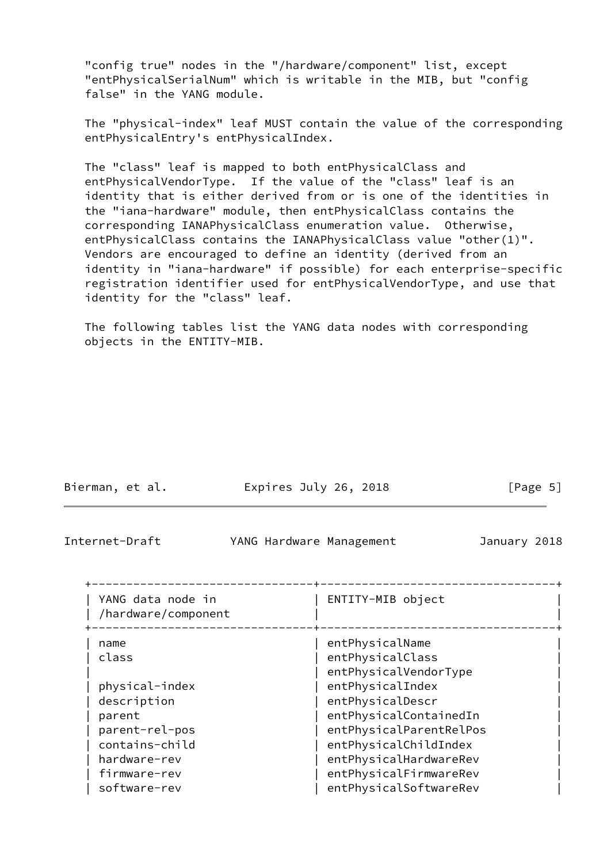"config true" nodes in the "/hardware/component" list, except "entPhysicalSerialNum" which is writable in the MIB, but "config false" in the YANG module.

 The "physical-index" leaf MUST contain the value of the corresponding entPhysicalEntry's entPhysicalIndex.

 The "class" leaf is mapped to both entPhysicalClass and entPhysicalVendorType. If the value of the "class" leaf is an identity that is either derived from or is one of the identities in the "iana-hardware" module, then entPhysicalClass contains the corresponding IANAPhysicalClass enumeration value. Otherwise, entPhysicalClass contains the IANAPhysicalClass value "other(1)". Vendors are encouraged to define an identity (derived from an identity in "iana-hardware" if possible) for each enterprise-specific registration identifier used for entPhysicalVendorType, and use that identity for the "class" leaf.

 The following tables list the YANG data nodes with corresponding objects in the ENTITY-MIB.

<span id="page-5-0"></span>

| Internet-Draft                                   | YANG Hardware Management |                                                                            | January 2018 |  |
|--------------------------------------------------|--------------------------|----------------------------------------------------------------------------|--------------|--|
| YANG data node in<br>/hardware/component         |                          | ENTITY-MIB object                                                          |              |  |
| name<br>class                                    |                          | entPhysicalName<br>entPhysicalClass<br>entPhysicalVendorType               |              |  |
| physical-index<br>description<br>parent          |                          | entPhysicalIndex<br>entPhysicalDescr<br>entPhysicalContainedIn             |              |  |
| parent-rel-pos<br>contains-child<br>hardware-rev |                          | entPhysicalParentRelPos<br>entPhysicalChildIndex<br>entPhysicalHardwareRev |              |  |
| firmware-rev<br>software-rev                     |                          | entPhysicalFirmwareRev<br>entPhysicalSoftwareRev                           |              |  |

Bierman, et al. **Expires July 26, 2018**[Page 5]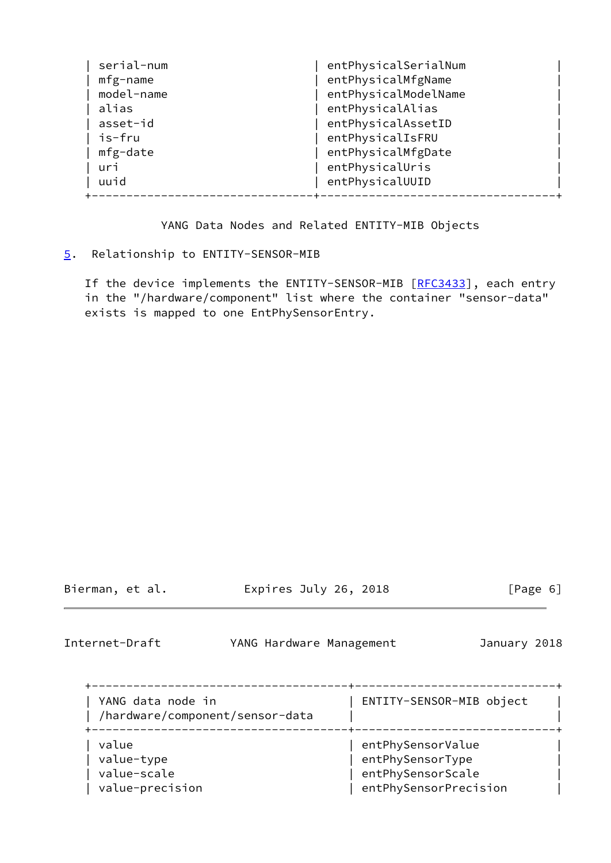| serial-num | entPhysicalSerialNum |
|------------|----------------------|
| mfg-name   | entPhysicalMfgName   |
| model-name | entPhysicalModelName |
| alias      | entPhysicalAlias     |
| asset-id   | entPhysicalAssetID   |
| is-fru     | entPhysicalIsFRU     |
| mfg-date   | entPhysicalMfgDate   |
| uri        | entPhysicalUris      |
| uuid       | entPhysicalUUID      |
|            |                      |

YANG Data Nodes and Related ENTITY-MIB Objects

## <span id="page-6-0"></span>[5](#page-6-0). Relationship to ENTITY-SENSOR-MIB

If the device implements the ENTITY-SENSOR-MIB [\[RFC3433](https://datatracker.ietf.org/doc/pdf/rfc3433)], each entry in the "/hardware/component" list where the container "sensor-data" exists is mapped to one EntPhySensorEntry.

Bierman, et al. Expires July 26, 2018 [Page 6]

<span id="page-6-1"></span>

Internet-Draft YANG Hardware Management January 2018

| YANG data node in<br>/hardware/component/sensor-data | ENTITY-SENSOR-MIB object                                   |
|------------------------------------------------------|------------------------------------------------------------|
| value<br>value-type<br>value-scale                   | entPhySensorValue<br>entPhySensorType<br>entPhySensorScale |
| value-precision                                      | entPhySensorPrecision                                      |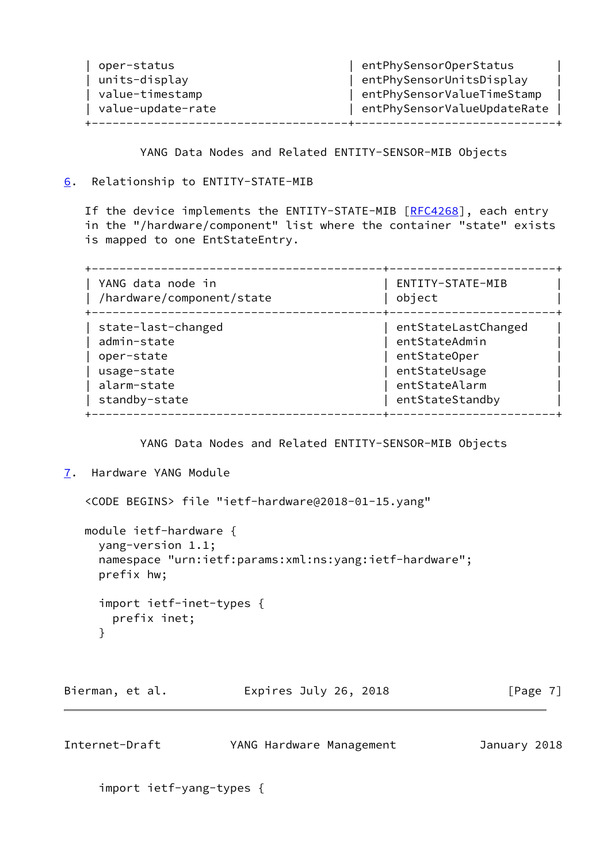| oper-status<br>units-display<br>value-timestamp | entPhySensorOperStatus<br>entPhySensorUnitsDisplay<br>entPhySensorValueTimeStamp |  |
|-------------------------------------------------|----------------------------------------------------------------------------------|--|
| value-update-rate                               | entPhySensorValueUpdateRate                                                      |  |
|                                                 |                                                                                  |  |

YANG Data Nodes and Related ENTITY-SENSOR-MIB Objects

## <span id="page-7-0"></span>[6](#page-7-0). Relationship to ENTITY-STATE-MIB

If the device implements the ENTITY-STATE-MIB [[RFC4268](https://datatracker.ietf.org/doc/pdf/rfc4268)], each entry in the "/hardware/component" list where the container "state" exists is mapped to one EntStateEntry.

| YANG data node in<br>/hardware/component/state | ENTITY-STATE-MIB<br>object |
|------------------------------------------------|----------------------------|
| state-last-changed                             | entStateLastChanged        |
| admin-state                                    | entStateAdmin              |
| oper-state                                     | entStateOper               |
| usage-state                                    | entStateUsage              |
| alarm-state                                    | entStateAlarm              |
| standby-state                                  | entStateStandby            |

YANG Data Nodes and Related ENTITY-SENSOR-MIB Objects

```
7. Hardware YANG Module
```
<CODE BEGINS> file "ietf-hardware@2018-01-15.yang"

 module ietf-hardware { yang-version 1.1; namespace "urn:ietf:params:xml:ns:yang:ietf-hardware"; prefix hw; import ietf-inet-types { prefix inet; }

Bierman, et al. 
Expires July 26, 2018  $[Page 7]$ 

| Internet-Draft | YANG Hardware Management | January 2018 |  |
|----------------|--------------------------|--------------|--|
|                |                          |              |  |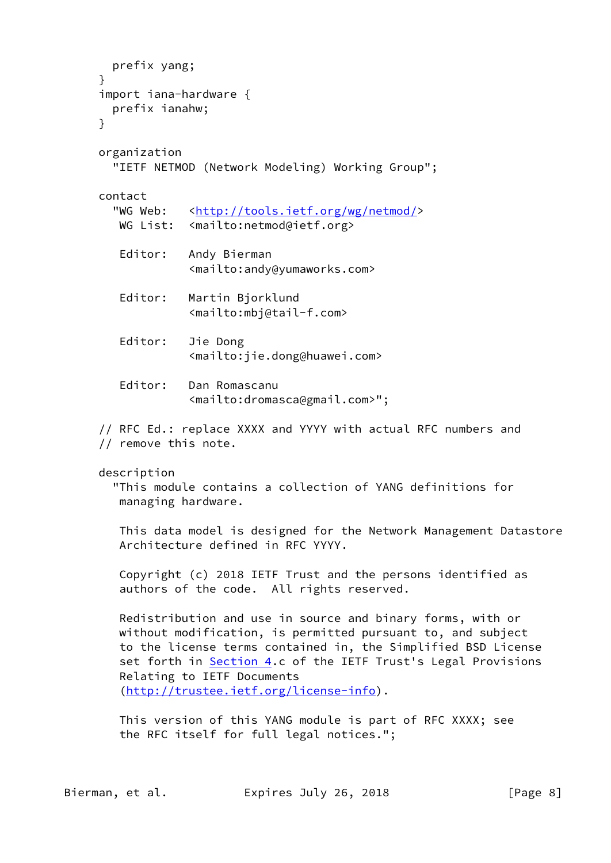```
 prefix yang;
 }
 import iana-hardware {
   prefix ianahw;
 }
 organization
   "IETF NETMOD (Network Modeling) Working Group";
 contact
  <http://tools.ietf.org/wg/netmod/>
  WG List: <mailto:netmod@ietf.org>
    Editor: Andy Bierman
              <mailto:andy@yumaworks.com>
    Editor: Martin Bjorklund
              <mailto:mbj@tail-f.com>
    Editor: Jie Dong
              <mailto:jie.dong@huawei.com>
    Editor: Dan Romascanu
              <mailto:dromasca@gmail.com>";
 // RFC Ed.: replace XXXX and YYYY with actual RFC numbers and
 // remove this note.
 description
   "This module contains a collection of YANG definitions for
   managing hardware.
    This data model is designed for the Network Management Datastore
    Architecture defined in RFC YYYY.
    Copyright (c) 2018 IETF Trust and the persons identified as
    authors of the code. All rights reserved.
    Redistribution and use in source and binary forms, with or
   without modification, is permitted pursuant to, and subject
    to the license terms contained in, the Simplified BSD License
    Section 4.c of the IETF Trust's Legal Provisions
    Relating to IETF Documents
    (http://trustee.ietf.org/license-info).
    This version of this YANG module is part of RFC XXXX; see
    the RFC itself for full legal notices.";
```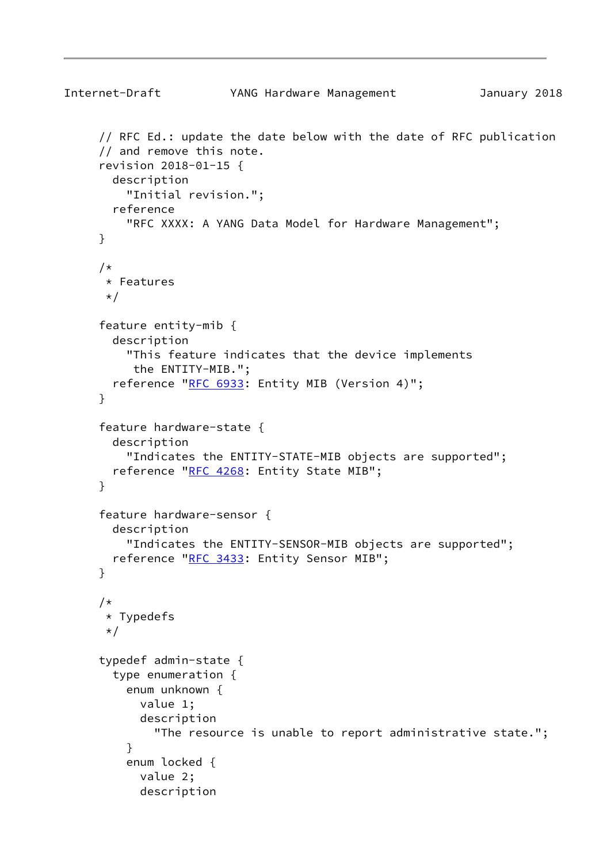```
Internet-Draft YANG Hardware Management January 2018
      // RFC Ed.: update the date below with the date of RFC publication
      // and remove this note.
      revision 2018-01-15 {
        description
          "Initial revision.";
        reference
          "RFC XXXX: A YANG Data Model for Hardware Management";
      }
      /*
       * Features
      \star/ feature entity-mib {
        description
          "This feature indicates that the device implements
           the ENTITY-MIB.";
        reference "RFC 6933: Entity MIB (Version 4)";
      }
      feature hardware-state {
        description
          "Indicates the ENTITY-STATE-MIB objects are supported";
       RFC 4268: Entity State MIB";
      }
      feature hardware-sensor {
        description
          "Indicates the ENTITY-SENSOR-MIB objects are supported";
       RFC 3433: Entity Sensor MIB";
      }
      /*
       * Typedefs
       */
      typedef admin-state {
        type enumeration {
          enum unknown {
            value 1;
            description
              "The resource is unable to report administrative state.";
          }
          enum locked {
            value 2;
            description
```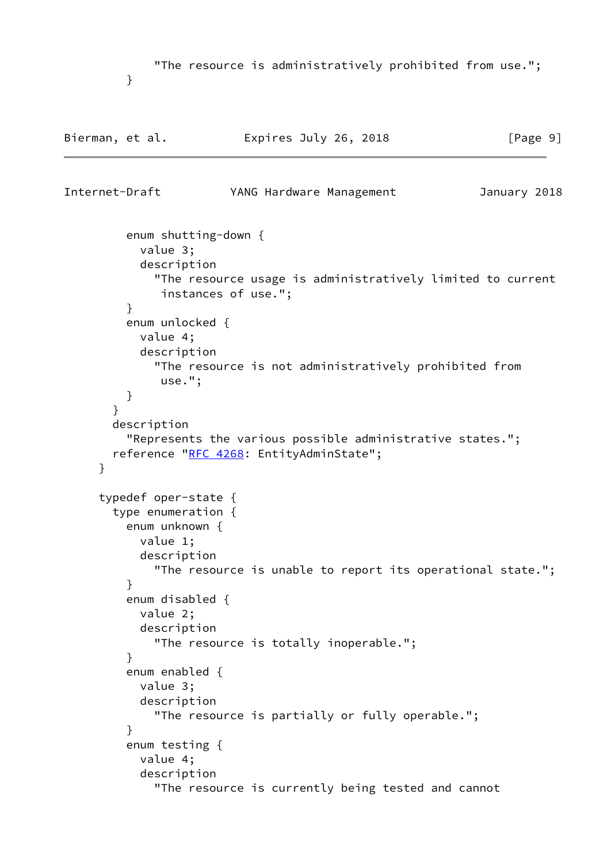"The resource is administratively prohibited from use.";

}

```
Bierman, et al. Expires July 26, 2018 [Page 9]
Internet-Draft YANG Hardware Management January 2018
         enum shutting-down {
           value 3;
           description
              "The resource usage is administratively limited to current
              instances of use.";
         }
         enum unlocked {
           value 4;
           description
              "The resource is not administratively prohibited from
              use.";
          }
       }
       description
          "Represents the various possible administrative states.";
      RFC 4268: EntityAdminState";
     }
      typedef oper-state {
       type enumeration {
         enum unknown {
           value 1;
           description
              "The resource is unable to report its operational state.";
         }
         enum disabled {
           value 2;
           description
             "The resource is totally inoperable.";
         }
         enum enabled {
           value 3;
           description
              "The resource is partially or fully operable.";
 }
         enum testing {
           value 4;
           description
              "The resource is currently being tested and cannot
```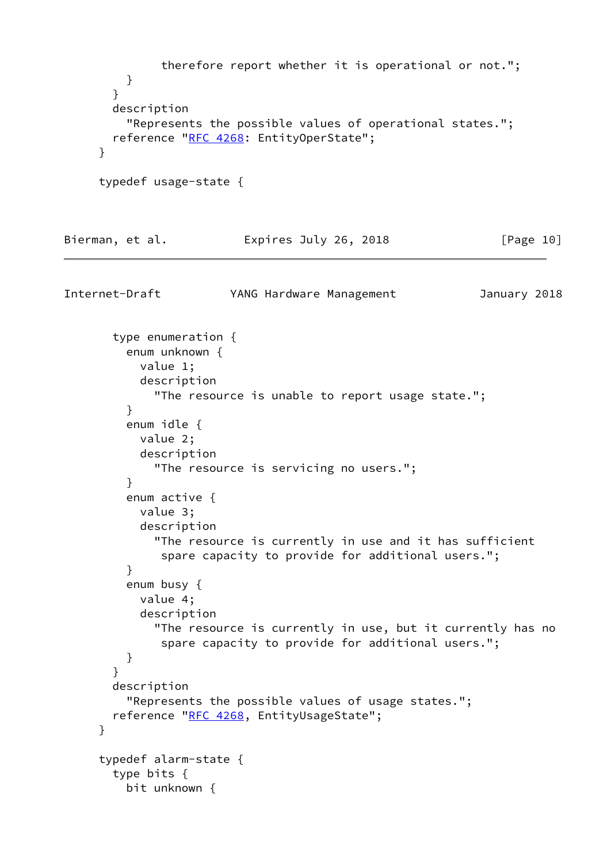therefore report whether it is operational or not."; } } description "Represents the possible values of operational states."; reference "[RFC 4268:](https://datatracker.ietf.org/doc/pdf/rfc4268) EntityOperState"; } typedef usage-state { Bierman, et al. Expires July 26, 2018 [Page 10] Internet-Draft YANG Hardware Management January 2018 type enumeration { enum unknown { value 1; description "The resource is unable to report usage state."; } enum idle { value 2; description "The resource is servicing no users."; } enum active { value 3; description "The resource is currently in use and it has sufficient spare capacity to provide for additional users."; } enum busy { value 4; description "The resource is currently in use, but it currently has no spare capacity to provide for additional users."; } } description "Represents the possible values of usage states."; reference "[RFC 4268,](https://datatracker.ietf.org/doc/pdf/rfc4268) EntityUsageState"; } typedef alarm-state { type bits { bit unknown {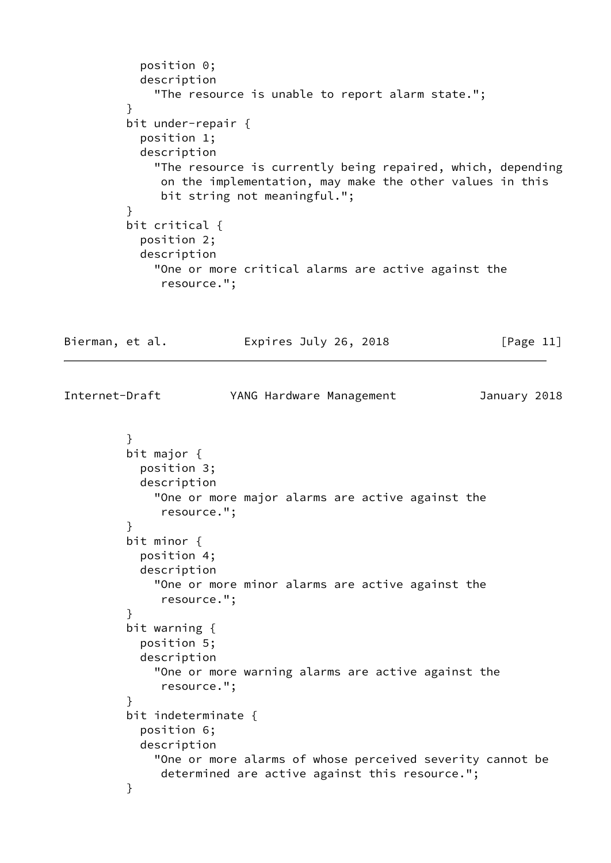```
 position 0;
            description
              "The resource is unable to report alarm state.";
 }
          bit under-repair {
            position 1;
            description
              "The resource is currently being repaired, which, depending
               on the implementation, may make the other values in this
               bit string not meaningful.";
          }
          bit critical {
            position 2;
            description
              "One or more critical alarms are active against the
               resource.";
```
Bierman, et al. Expires July 26, 2018 [Page 11]

Internet-Draft YANG Hardware Management January 2018

```
 }
          bit major {
            position 3;
            description
              "One or more major alarms are active against the
               resource.";
 }
          bit minor {
            position 4;
            description
              "One or more minor alarms are active against the
               resource.";
          }
          bit warning {
            position 5;
            description
              "One or more warning alarms are active against the
               resource.";
          }
          bit indeterminate {
            position 6;
            description
              "One or more alarms of whose perceived severity cannot be
               determined are active against this resource.";
          }
```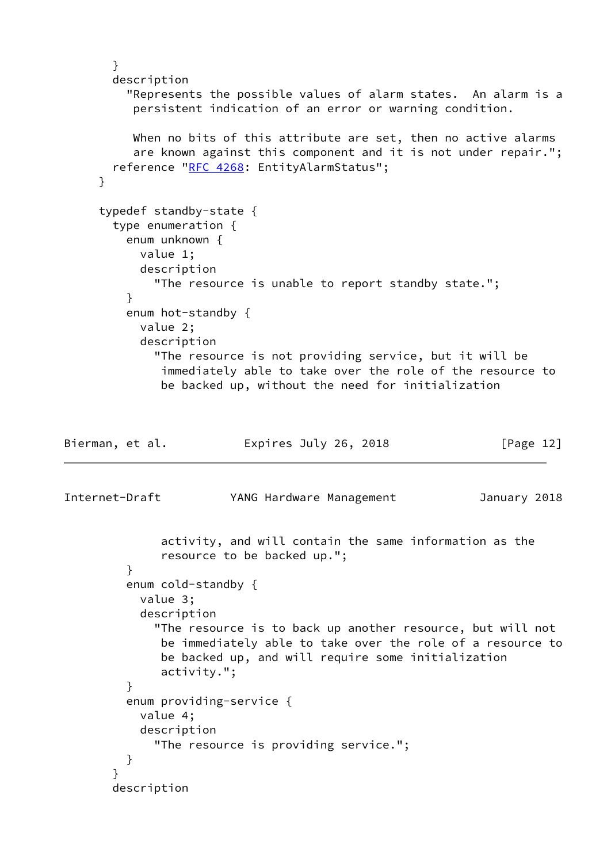```
 }
        description
          "Represents the possible values of alarm states. An alarm is a
           persistent indication of an error or warning condition.
          When no bits of this attribute are set, then no active alarms
           are known against this component and it is not under repair.";
        reference "RFC 4268: EntityAlarmStatus";
      }
      typedef standby-state {
        type enumeration {
          enum unknown {
            value 1;
            description
              "The resource is unable to report standby state.";
          }
          enum hot-standby {
            value 2;
            description
              "The resource is not providing service, but it will be
               immediately able to take over the role of the resource to
               be backed up, without the need for initialization
Bierman, et al.               Expires July 26, 2018               [Page 12]
Internet-Draft YANG Hardware Management January 2018
               activity, and will contain the same information as the
               resource to be backed up.";
          }
          enum cold-standby {
            value 3;
            description
              "The resource is to back up another resource, but will not
               be immediately able to take over the role of a resource to
               be backed up, and will require some initialization
               activity.";
 }
          enum providing-service {
            value 4;
            description
              "The resource is providing service.";
          }
        }
        description
```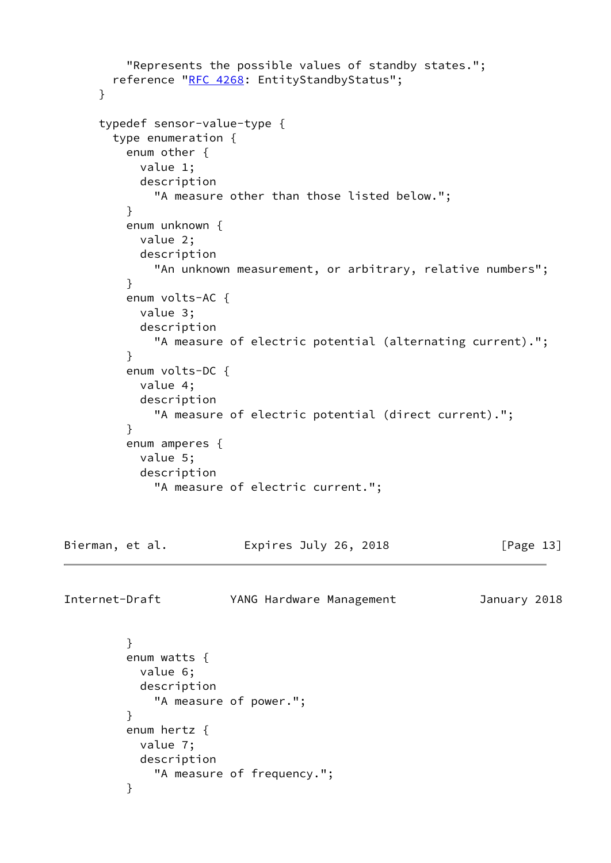```
 "Represents the possible values of standby states.";
       RFC 4268: EntityStandbyStatus";
      }
      typedef sensor-value-type {
        type enumeration {
          enum other {
            value 1;
            description
              "A measure other than those listed below.";
          }
          enum unknown {
            value 2;
            description
              "An unknown measurement, or arbitrary, relative numbers";
          }
          enum volts-AC {
            value 3;
            description
              "A measure of electric potential (alternating current).";
          }
          enum volts-DC {
            value 4;
            description
              "A measure of electric potential (direct current).";
 }
          enum amperes {
            value 5;
            description
              "A measure of electric current.";
Bierman, et al.               Expires July 26, 2018               [Page 13]
Internet-Draft YANG Hardware Management January 2018
 }
          enum watts {
            value 6;
            description
              "A measure of power.";
          }
          enum hertz {
            value 7;
            description
              "A measure of frequency.";
          }
```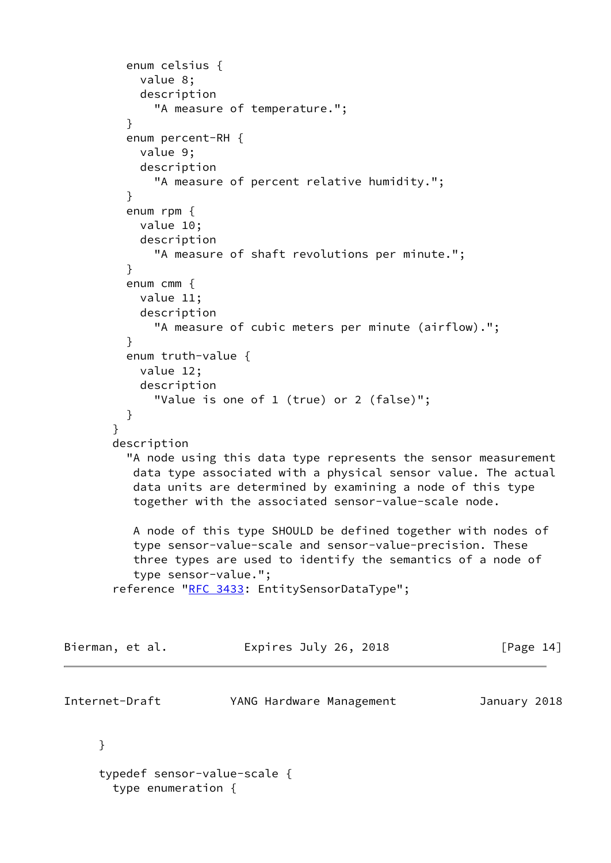```
 enum celsius {
           value 8;
           description
             "A measure of temperature.";
 }
         enum percent-RH {
           value 9;
           description
             "A measure of percent relative humidity.";
 }
         enum rpm {
           value 10;
           description
             "A measure of shaft revolutions per minute.";
 }
         enum cmm {
           value 11;
           description
             "A measure of cubic meters per minute (airflow).";
 }
         enum truth-value {
           value 12;
           description
             "Value is one of 1 (true) or 2 (false)";
         }
       }
       description
         "A node using this data type represents the sensor measurement
          data type associated with a physical sensor value. The actual
          data units are determined by examining a node of this type
          together with the associated sensor-value-scale node.
          A node of this type SHOULD be defined together with nodes of
          type sensor-value-scale and sensor-value-precision. These
          three types are used to identify the semantics of a node of
          type sensor-value.";
      RFC 3433: EntitySensorDataType";
Bierman, et al. 
Expires July 26, 2018
[Page 14]
Internet-Draft YANG Hardware Management January 2018
     }
     typedef sensor-value-scale {
       type enumeration {
```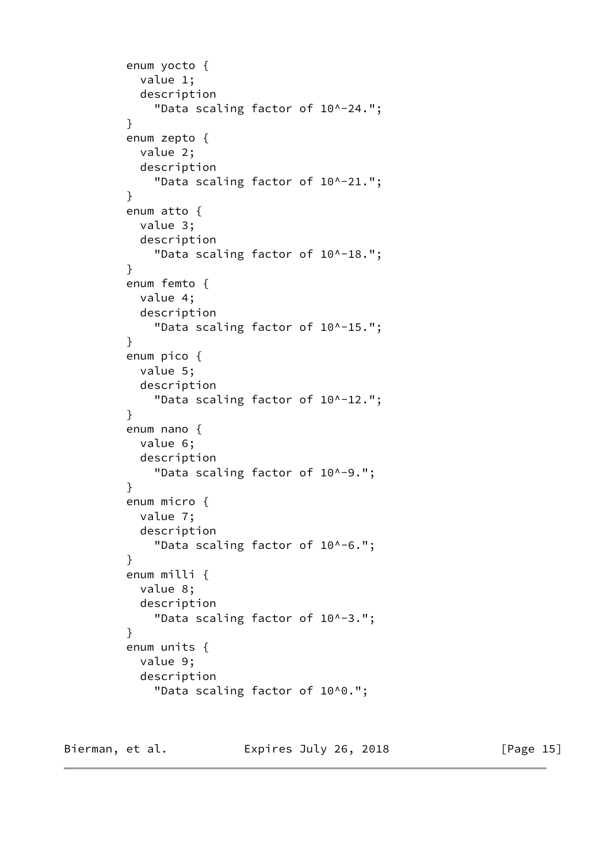```
 enum yocto {
            value 1;
            description
               "Data scaling factor of 10^-24.";
          }
          enum zepto {
            value 2;
            description
               "Data scaling factor of 10^-21.";
          }
          enum atto {
            value 3;
            description
               "Data scaling factor of 10^-18.";
 }
          enum femto {
            value 4;
            description
               "Data scaling factor of 10^-15.";
          }
          enum pico {
            value 5;
            description
               "Data scaling factor of 10^-12.";
          }
          enum nano {
            value 6;
            description
              "Data scaling factor of 10^-9.";
          }
          enum micro {
            value 7;
            description
               "Data scaling factor of 10^-6.";
          }
          enum milli {
            value 8;
            description
               "Data scaling factor of 10^-3.";
          }
          enum units {
            value 9;
            description
               "Data scaling factor of 10^0.";
```
Bierman, et al. Expires July 26, 2018 [Page 15]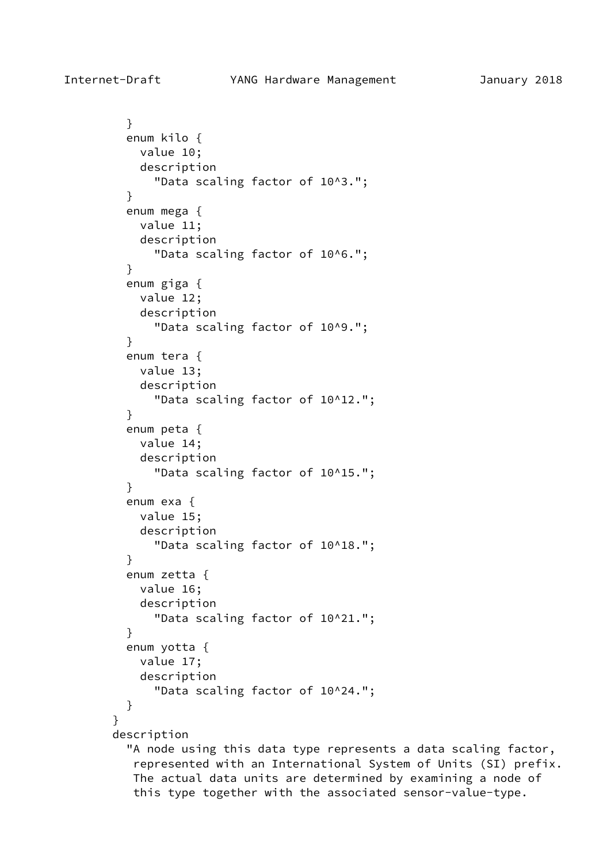} enum kilo { value 10; description "Data scaling factor of 10^3."; } enum mega { value 11; description "Data scaling factor of 10^6."; } enum giga { value 12; description "Data scaling factor of 10^9."; } enum tera { value 13; description "Data scaling factor of 10^12."; } enum peta { value 14; description "Data scaling factor of 10^15."; } enum exa { value 15; description "Data scaling factor of 10^18."; } enum zetta { value 16; description "Data scaling factor of 10^21."; } enum yotta { value 17; description "Data scaling factor of 10^24."; } } description "A node using this data type represents a data scaling factor,

 represented with an International System of Units (SI) prefix. The actual data units are determined by examining a node of this type together with the associated sensor-value-type.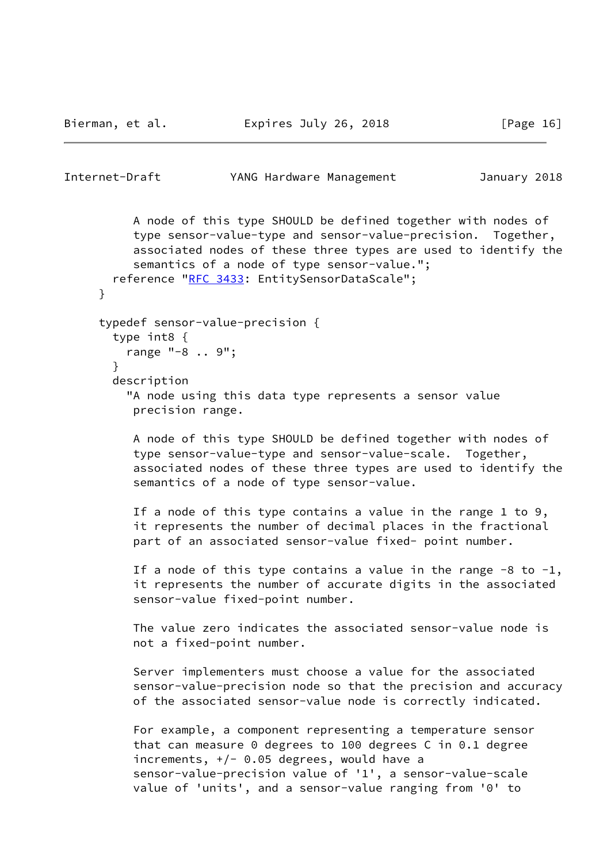Bierman, et al. Expires July 26, 2018 [Page 16]

```
Internet-Draft YANG Hardware Management January 2018
          A node of this type SHOULD be defined together with nodes of
           type sensor-value-type and sensor-value-precision. Together,
           associated nodes of these three types are used to identify the
           semantics of a node of type sensor-value.";
      RFC 3433: EntitySensorDataScale";
      }
     typedef sensor-value-precision {
       type int8 {
         range "-8 .. 9";
       }
       description
          "A node using this data type represents a sensor value
          precision range.
          A node of this type SHOULD be defined together with nodes of
          type sensor-value-type and sensor-value-scale. Together,
           associated nodes of these three types are used to identify the
           semantics of a node of type sensor-value.
          If a node of this type contains a value in the range 1 to 9,
           it represents the number of decimal places in the fractional
           part of an associated sensor-value fixed- point number.
         If a node of this type contains a value in the range -8 to -1,
           it represents the number of accurate digits in the associated
           sensor-value fixed-point number.
          The value zero indicates the associated sensor-value node is
          not a fixed-point number.
          Server implementers must choose a value for the associated
           sensor-value-precision node so that the precision and accuracy
          of the associated sensor-value node is correctly indicated.
           For example, a component representing a temperature sensor
          that can measure 0 degrees to 100 degrees C in 0.1 degree
         increments, +/- 0.05 degrees, would have a
           sensor-value-precision value of '1', a sensor-value-scale
           value of 'units', and a sensor-value ranging from '0' to
```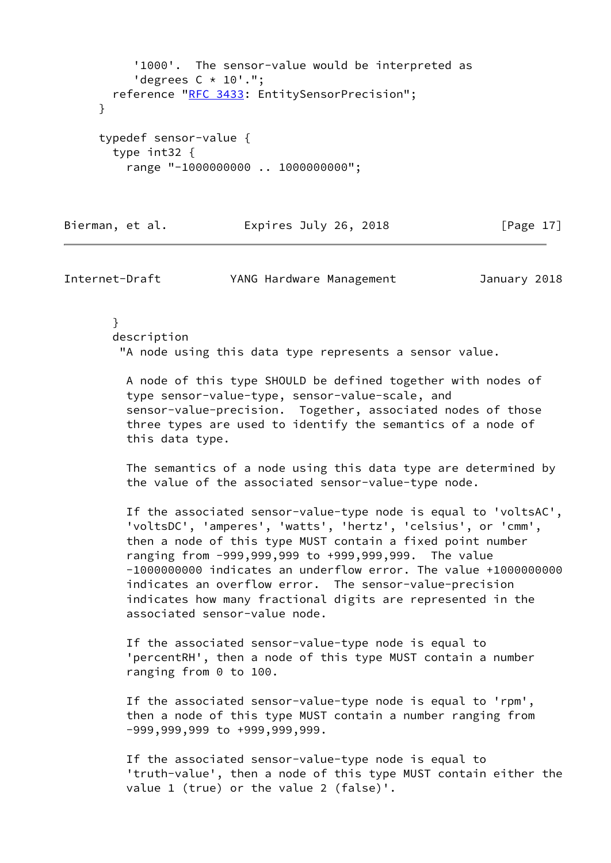```
 '1000'. The sensor-value would be interpreted as
      'degrees C * 10'.";
   reference "RFC 3433: EntitySensorPrecision";
 }
 typedef sensor-value {
   type int32 {
     range "-1000000000 .. 1000000000";
```
#### Bierman, et al. Expires July 26, 2018 [Page 17]

Internet-Draft YANG Hardware Management January 2018

 } description "A node using this data type represents a sensor value.

 A node of this type SHOULD be defined together with nodes of type sensor-value-type, sensor-value-scale, and sensor-value-precision. Together, associated nodes of those three types are used to identify the semantics of a node of this data type.

 The semantics of a node using this data type are determined by the value of the associated sensor-value-type node.

 If the associated sensor-value-type node is equal to 'voltsAC', 'voltsDC', 'amperes', 'watts', 'hertz', 'celsius', or 'cmm', then a node of this type MUST contain a fixed point number ranging from -999,999,999 to +999,999,999. The value -1000000000 indicates an underflow error. The value +1000000000 indicates an overflow error. The sensor-value-precision indicates how many fractional digits are represented in the associated sensor-value node.

 If the associated sensor-value-type node is equal to 'percentRH', then a node of this type MUST contain a number ranging from 0 to 100.

 If the associated sensor-value-type node is equal to 'rpm', then a node of this type MUST contain a number ranging from -999,999,999 to +999,999,999.

 If the associated sensor-value-type node is equal to 'truth-value', then a node of this type MUST contain either the value 1 (true) or the value 2 (false)'.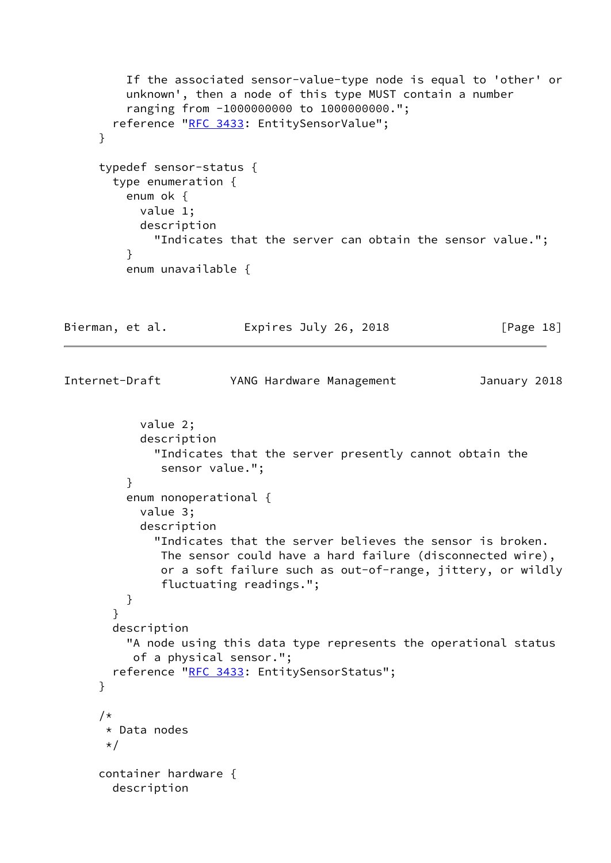```
 If the associated sensor-value-type node is equal to 'other' or
          unknown', then a node of this type MUST contain a number
          ranging from -1000000000 to 1000000000.";
       RFC 3433: EntitySensorValue";
      }
      typedef sensor-status {
        type enumeration {
          enum ok {
            value 1;
            description
              "Indicates that the server can obtain the sensor value.";
          }
          enum unavailable {
Bierman, et al.             Expires July 26, 2018             [Page 18]
Internet-Draft YANG Hardware Management January 2018
            value 2;
            description
              "Indicates that the server presently cannot obtain the
               sensor value.";
          }
          enum nonoperational {
            value 3;
            description
              "Indicates that the server believes the sensor is broken.
               The sensor could have a hard failure (disconnected wire),
               or a soft failure such as out-of-range, jittery, or wildly
               fluctuating readings.";
          }
        }
        description
          "A node using this data type represents the operational status
           of a physical sensor.";
        reference "RFC 3433: EntitySensorStatus";
      }
      /*
       * Data nodes
       */
      container hardware {
        description
```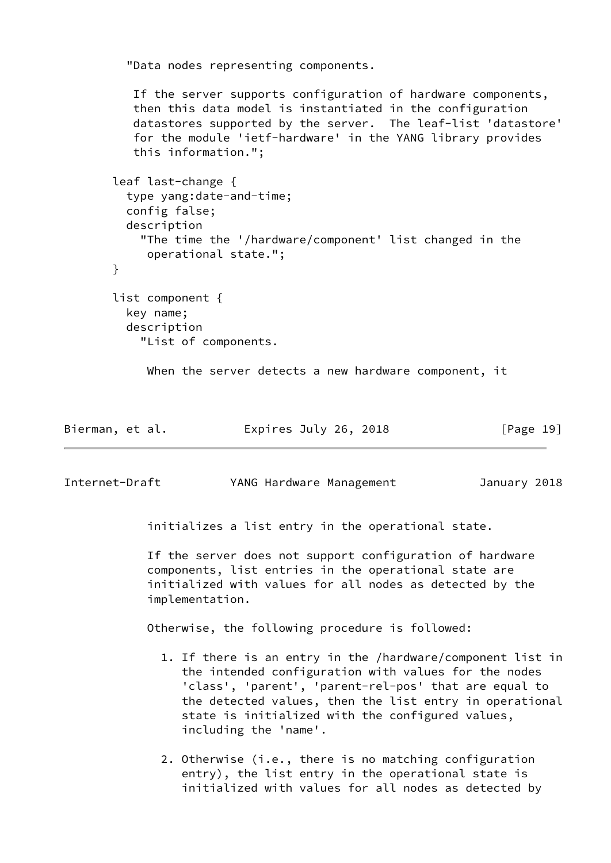"Data nodes representing components.

 If the server supports configuration of hardware components, then this data model is instantiated in the configuration datastores supported by the server. The leaf-list 'datastore' for the module 'ietf-hardware' in the YANG library provides this information.";

```
 leaf last-change {
   type yang:date-and-time;
   config false;
   description
     "The time the '/hardware/component' list changed in the
      operational state.";
 }
 list component {
   key name;
   description
     "List of components.
```
When the server detects a new hardware component, it

| Bierman, et al. | Expires July 26, 2018 | [Page 19] |
|-----------------|-----------------------|-----------|
|-----------------|-----------------------|-----------|

Internet-Draft YANG Hardware Management January 2018

initializes a list entry in the operational state.

 If the server does not support configuration of hardware components, list entries in the operational state are initialized with values for all nodes as detected by the implementation.

Otherwise, the following procedure is followed:

- 1. If there is an entry in the /hardware/component list in the intended configuration with values for the nodes 'class', 'parent', 'parent-rel-pos' that are equal to the detected values, then the list entry in operational state is initialized with the configured values, including the 'name'.
- 2. Otherwise (i.e., there is no matching configuration entry), the list entry in the operational state is initialized with values for all nodes as detected by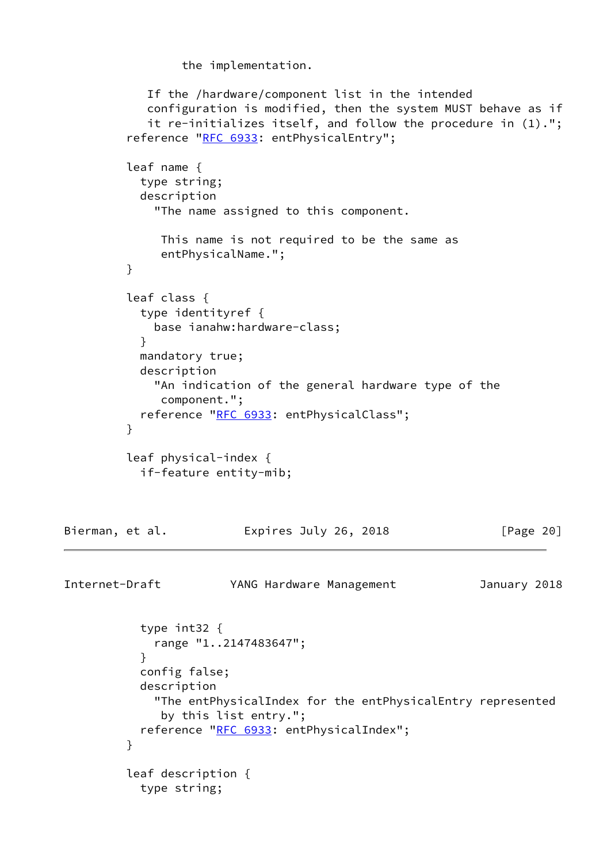the implementation.

```
 If the /hardware/component list in the intended
            configuration is modified, then the system MUST behave as if
            it re-initializes itself, and follow the procedure in (1).";
        "RFC 6933: entPhysicalEntry";
         leaf name {
           type string;
           description
             "The name assigned to this component.
              This name is not required to be the same as
              entPhysicalName.";
         }
         leaf class {
           type identityref {
             base ianahw:hardware-class;
 }
           mandatory true;
           description
             "An indication of the general hardware type of the
              component.";
          RFC 6933: entPhysicalClass";
 }
         leaf physical-index {
           if-feature entity-mib;
Bierman, et al.             Expires July 26, 2018               [Page 20]
Internet-Draft YANG Hardware Management January 2018
           type int32 {
             range "1..2147483647";
 }
           config false;
           description
             "The entPhysicalIndex for the entPhysicalEntry represented
              by this list entry.";
          RFC 6933: entPhysicalIndex";
 }
         leaf description {
           type string;
```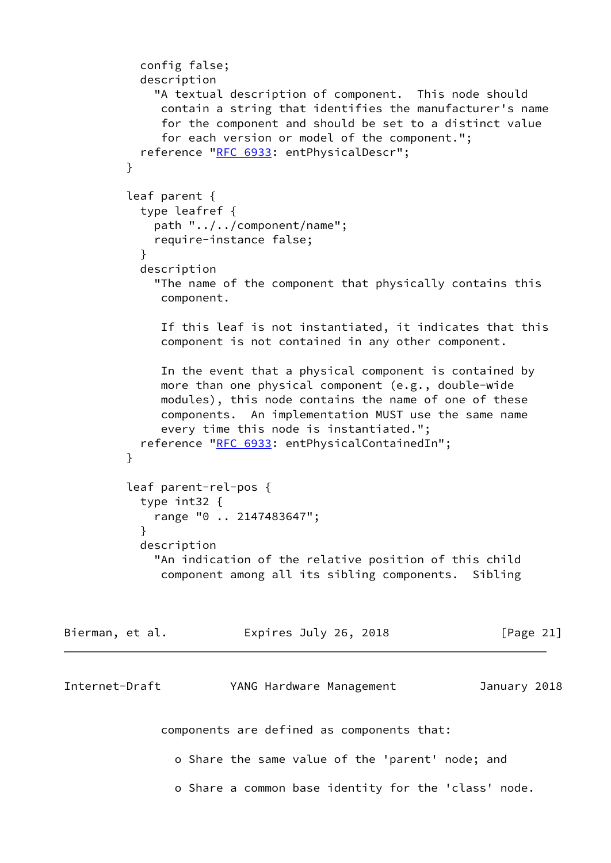```
 config false;
           description
              "A textual description of component. This node should
              contain a string that identifies the manufacturer's name
              for the component and should be set to a distinct value
              for each version or model of the component.";
           reference "RFC 6933: entPhysicalDescr";
 }
          leaf parent {
           type leafref {
             path "../../component/name";
             require-instance false;
 }
           description
             "The name of the component that physically contains this
              component.
              If this leaf is not instantiated, it indicates that this
              component is not contained in any other component.
              In the event that a physical component is contained by
              more than one physical component (e.g., double-wide
              modules), this node contains the name of one of these
              components. An implementation MUST use the same name
              every time this node is instantiated.";
          RFC 6933: entPhysicalContainedIn";
 }
          leaf parent-rel-pos {
           type int32 {
             range "0 .. 2147483647";
 }
           description
             "An indication of the relative position of this child
              component among all its sibling components. Sibling
Bierman, et al.               Expires July 26, 2018               [Page 21]
Internet-Draft YANG Hardware Management January 2018
              components are defined as components that:
                o Share the same value of the 'parent' node; and
                o Share a common base identity for the 'class' node.
```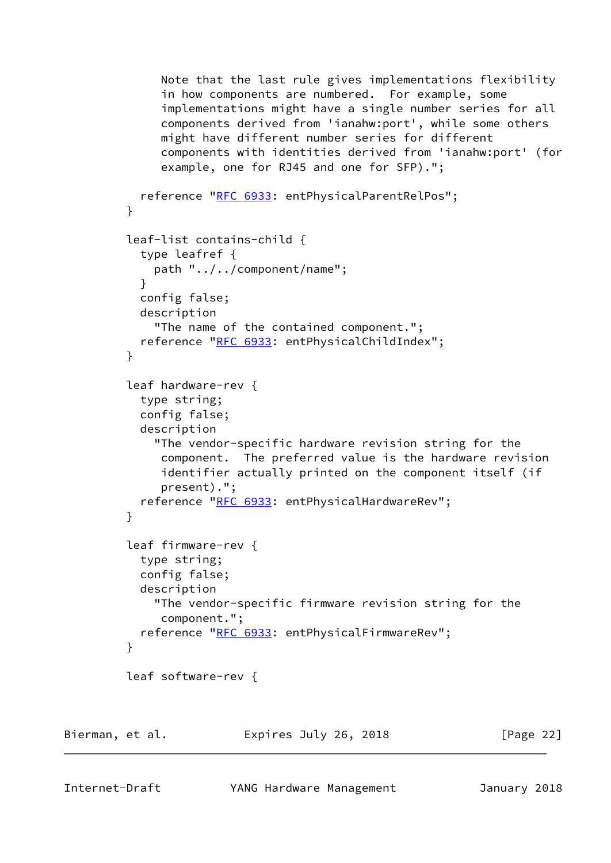```
 Note that the last rule gives implementations flexibility
              in how components are numbered. For example, some
              implementations might have a single number series for all
              components derived from 'ianahw:port', while some others
              might have different number series for different
              components with identities derived from 'ianahw:port' (for
              example, one for RJ45 and one for SFP).";
           reference "RFC 6933: entPhysicalParentRelPos";
         }
          leaf-list contains-child {
            type leafref {
             path "../../component/name";
 }
           config false;
           description
             "The name of the contained component.";
           RFC 6933: entPhysicalChildIndex";
 }
          leaf hardware-rev {
           type string;
           config false;
           description
             "The vendor-specific hardware revision string for the
              component. The preferred value is the hardware revision
              identifier actually printed on the component itself (if
              present).";
           RFC 6933: entPhysicalHardwareRev";
 }
          leaf firmware-rev {
           type string;
           config false;
           description
             "The vendor-specific firmware revision string for the
              component.";
           RFC 6933: entPhysicalFirmwareRev";
 }
          leaf software-rev {
Bierman, et al.               Expires July 26, 2018               [Page 22]
```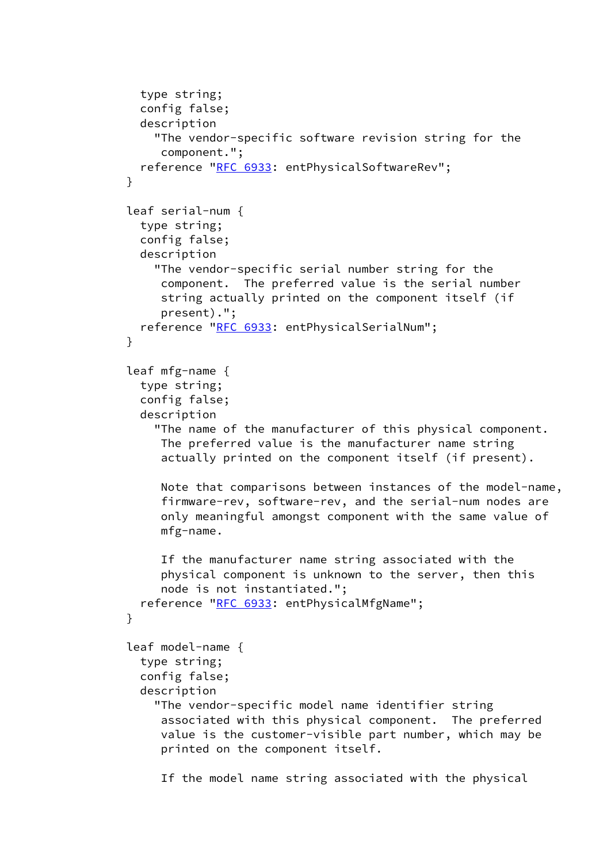```
 type string;
            config false;
            description
              "The vendor-specific software revision string for the
               component.";
            reference "RFC 6933: entPhysicalSoftwareRev";
 }
          leaf serial-num {
            type string;
            config false;
            description
              "The vendor-specific serial number string for the
               component. The preferred value is the serial number
               string actually printed on the component itself (if
               present).";
            reference "RFC 6933: entPhysicalSerialNum";
 }
          leaf mfg-name {
            type string;
            config false;
            description
              "The name of the manufacturer of this physical component.
               The preferred value is the manufacturer name string
               actually printed on the component itself (if present).
               Note that comparisons between instances of the model-name,
               firmware-rev, software-rev, and the serial-num nodes are
               only meaningful amongst component with the same value of
               mfg-name.
               If the manufacturer name string associated with the
               physical component is unknown to the server, then this
               node is not instantiated.";
           RFC 6933: entPhysicalMfgName";
 }
          leaf model-name {
            type string;
            config false;
            description
              "The vendor-specific model name identifier string
               associated with this physical component. The preferred
               value is the customer-visible part number, which may be
               printed on the component itself.
```
If the model name string associated with the physical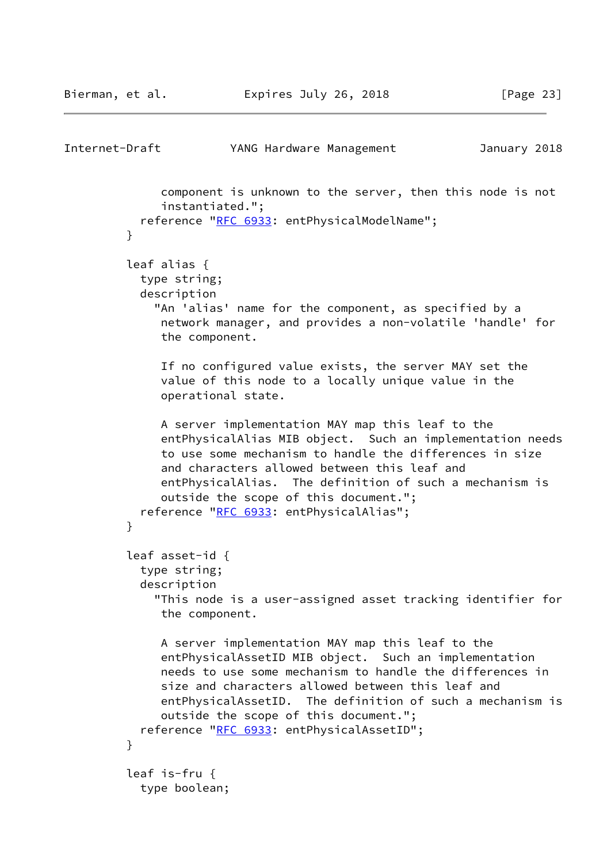```
Internet-Draft YANG Hardware Management January 2018
              component is unknown to the server, then this node is not
              instantiated.";
           reference "RFC 6933: entPhysicalModelName";
 }
         leaf alias {
           type string;
           description
             "An 'alias' name for the component, as specified by a
              network manager, and provides a non-volatile 'handle' for
              the component.
              If no configured value exists, the server MAY set the
              value of this node to a locally unique value in the
              operational state.
              A server implementation MAY map this leaf to the
              entPhysicalAlias MIB object. Such an implementation needs
              to use some mechanism to handle the differences in size
              and characters allowed between this leaf and
              entPhysicalAlias. The definition of such a mechanism is
              outside the scope of this document.";
           reference "RFC 6933: entPhysicalAlias";
 }
         leaf asset-id {
           type string;
           description
             "This node is a user-assigned asset tracking identifier for
              the component.
              A server implementation MAY map this leaf to the
              entPhysicalAssetID MIB object. Such an implementation
              needs to use some mechanism to handle the differences in
              size and characters allowed between this leaf and
              entPhysicalAssetID. The definition of such a mechanism is
              outside the scope of this document.";
          RFC 6933: entPhysicalAssetID";
 }
         leaf is-fru {
           type boolean;
```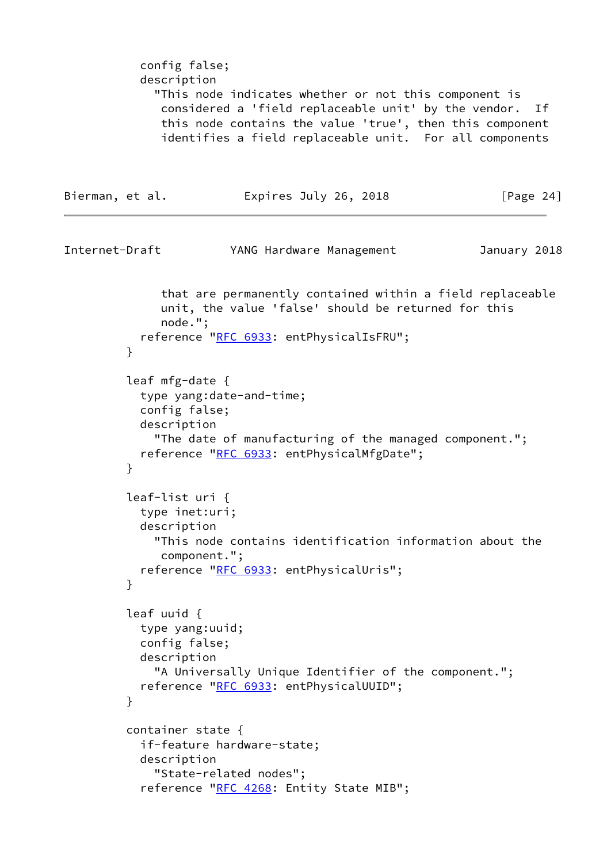config false; description "This node indicates whether or not this component is considered a 'field replaceable unit' by the vendor. If this node contains the value 'true', then this component identifies a field replaceable unit. For all components Bierman, et al. Expires July 26, 2018 [Page 24] Internet-Draft YANG Hardware Management January 2018 that are permanently contained within a field replaceable unit, the value 'false' should be returned for this node."; reference "[RFC 6933:](https://datatracker.ietf.org/doc/pdf/rfc6933) entPhysicalIsFRU"; } leaf mfg-date { type yang:date-and-time; config false; description "The date of manufacturing of the managed component."; reference "[RFC 6933:](https://datatracker.ietf.org/doc/pdf/rfc6933) entPhysicalMfgDate"; } leaf-list uri { type inet:uri; description "This node contains identification information about the component."; reference "[RFC 6933:](https://datatracker.ietf.org/doc/pdf/rfc6933) entPhysicalUris"; } leaf uuid { type yang:uuid; config false; description "A Universally Unique Identifier of the component."; reference "[RFC 6933:](https://datatracker.ietf.org/doc/pdf/rfc6933) entPhysicalUUID"; } container state { if-feature hardware-state; description "State-related nodes"; reference "[RFC 4268:](https://datatracker.ietf.org/doc/pdf/rfc4268) Entity State MIB";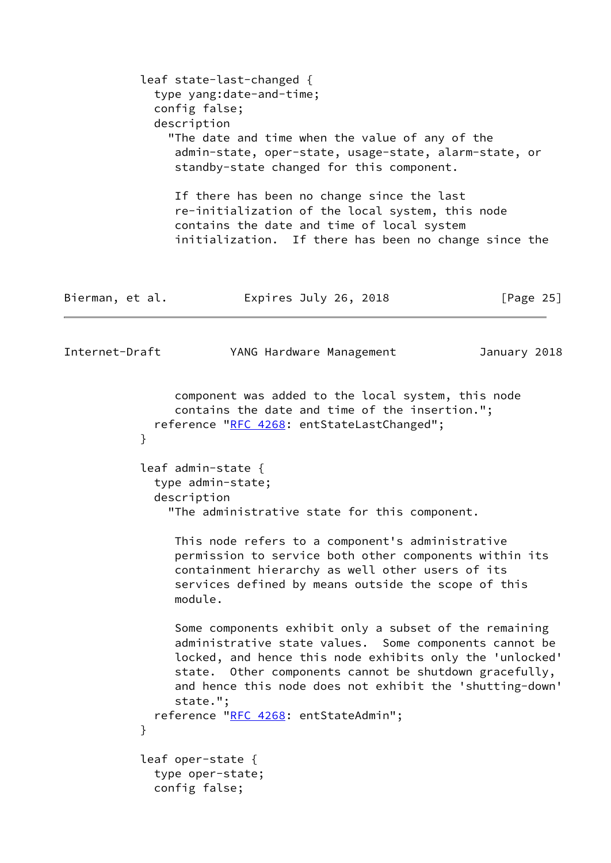|                 | leaf state-last-changed {<br>type yang:date-and-time;<br>config false;<br>description<br>"The date and time when the value of any of the<br>admin-state, oper-state, usage-state, alarm-state, or<br>standby-state changed for this component.<br>If there has been no change since the last<br>re-initialization of the local system, this node<br>contains the date and time of local system<br>initialization. If there has been no change since the |              |
|-----------------|---------------------------------------------------------------------------------------------------------------------------------------------------------------------------------------------------------------------------------------------------------------------------------------------------------------------------------------------------------------------------------------------------------------------------------------------------------|--------------|
| Bierman, et al. | Expires July 26, 2018                                                                                                                                                                                                                                                                                                                                                                                                                                   | [Page $25$ ] |
| Internet-Draft  | YANG Hardware Management                                                                                                                                                                                                                                                                                                                                                                                                                                | January 2018 |
| }               | component was added to the local system, this node<br>contains the date and time of the insertion.";<br>reference "RFC 4268: entStateLastChanged";<br>leaf admin-state {<br>type admin-state;<br>description                                                                                                                                                                                                                                            |              |
|                 | "The administrative state for this component.<br>This node refers to a component's administrative<br>permission to service both other components within its<br>containment hierarchy as well other users of its<br>services defined by means outside the scope of this<br>module.                                                                                                                                                                       |              |
|                 | Some components exhibit only a subset of the remaining<br>administrative state values. Some components cannot be<br>locked, and hence this node exhibits only the 'unlocked'<br>Other components cannot be shutdown gracefully,<br>state.<br>and hence this node does not exhibit the 'shutting-down'<br>state.";<br>reference "RFC 4268: entStateAdmin";                                                                                               |              |
| }               | leaf oper-state {<br>type oper-state;<br>config false;                                                                                                                                                                                                                                                                                                                                                                                                  |              |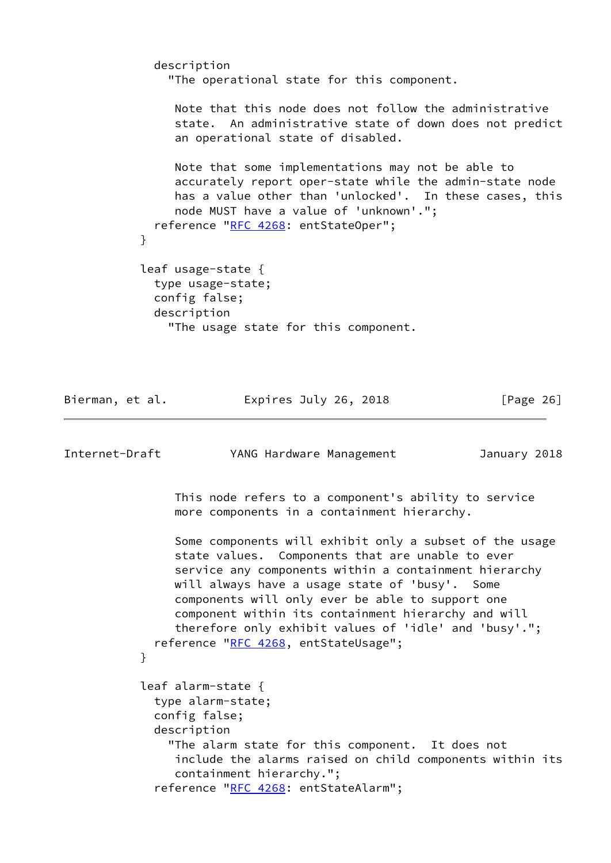description "The operational state for this component. Note that this node does not follow the administrative state. An administrative state of down does not predict an operational state of disabled. Note that some implementations may not be able to accurately report oper-state while the admin-state node has a value other than 'unlocked'. In these cases, this node MUST have a value of 'unknown'."; reference ["RFC 4268](https://datatracker.ietf.org/doc/pdf/rfc4268): entStateOper"; } leaf usage-state { type usage-state; config false; description "The usage state for this component.

Bierman, et al. Expires July 26, 2018 [Page 26]

Internet-Draft YANG Hardware Management January 2018 This node refers to a component's ability to service more components in a containment hierarchy. Some components will exhibit only a subset of the usage state values. Components that are unable to ever service any components within a containment hierarchy will always have a usage state of 'busy'. Some components will only ever be able to support one component within its containment hierarchy and will therefore only exhibit values of 'idle' and 'busy'."; reference ["RFC 4268](https://datatracker.ietf.org/doc/pdf/rfc4268), entStateUsage"; } leaf alarm-state { type alarm-state; config false; description "The alarm state for this component. It does not include the alarms raised on child components within its containment hierarchy."; reference ["RFC 4268](https://datatracker.ietf.org/doc/pdf/rfc4268): entStateAlarm";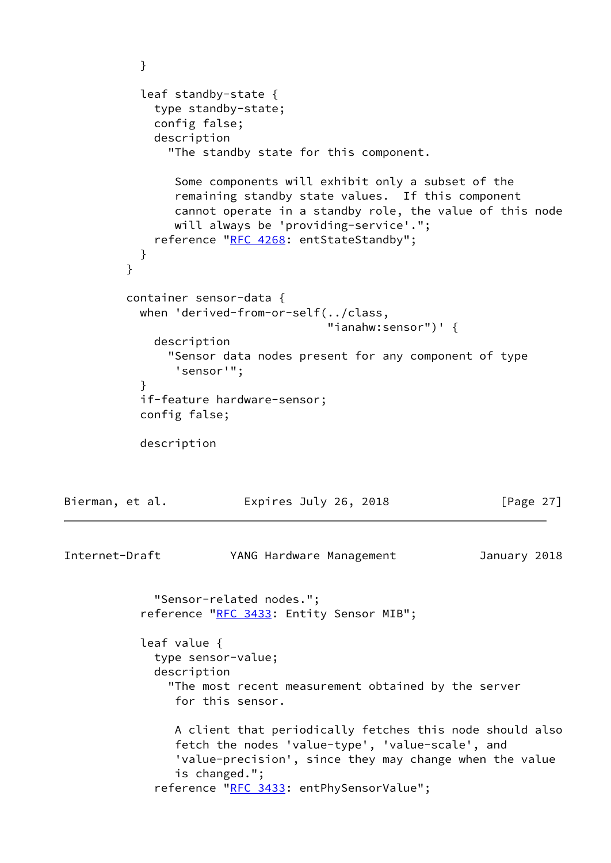```
 }
           leaf standby-state {
             type standby-state;
             config false;
             description
               "The standby state for this component.
                Some components will exhibit only a subset of the
                remaining standby state values. If this component
                cannot operate in a standby role, the value of this node
                will always be 'providing-service'.";
            "RFC 4268: entStateStandby";
           }
 }
         container sensor-data {
           when 'derived-from-or-self(../class,
                                      "ianahw:sensor")' {
             description
               "Sensor data nodes present for any component of type
                'sensor'";
 }
           if-feature hardware-sensor;
           config false;
           description
Bierman, et al.               Expires July 26, 2018               [Page 27]
Internet-Draft YANG Hardware Management January 2018
             "Sensor-related nodes.";
          RFC 3433: Entity Sensor MIB";
           leaf value {
             type sensor-value;
             description
               "The most recent measurement obtained by the server
                for this sensor.
                A client that periodically fetches this node should also
                fetch the nodes 'value-type', 'value-scale', and
                'value-precision', since they may change when the value
                is changed.";
            "RFC 3433: entPhySensorValue";
```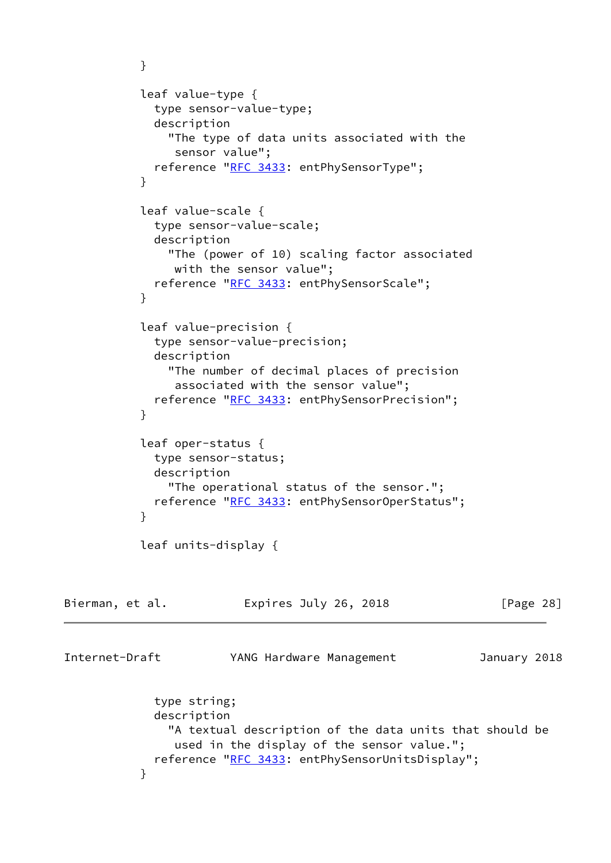```
 }
          leaf value-type {
            type sensor-value-type;
            description
              "The type of data units associated with the
               sensor value";
           "RFC 3433: entPhySensorType";
 }
           leaf value-scale {
            type sensor-value-scale;
            description
              "The (power of 10) scaling factor associated
               with the sensor value";
           "RFC 3433: entPhySensorScale";
 }
           leaf value-precision {
            type sensor-value-precision;
            description
              "The number of decimal places of precision
               associated with the sensor value";
           "RFC 3433: entPhySensorPrecision";
 }
           leaf oper-status {
            type sensor-status;
            description
              "The operational status of the sensor.";
           "RFC 3433: entPhySensorOperStatus";
 }
          leaf units-display {
Bierman, et al. Expires July 26, 2018 [Page 28]
Internet-Draft YANG Hardware Management January 2018
            type string;
            description
              "A textual description of the data units that should be
               used in the display of the sensor value.";
            reference "RFC 3433: entPhySensorUnitsDisplay";
 }
```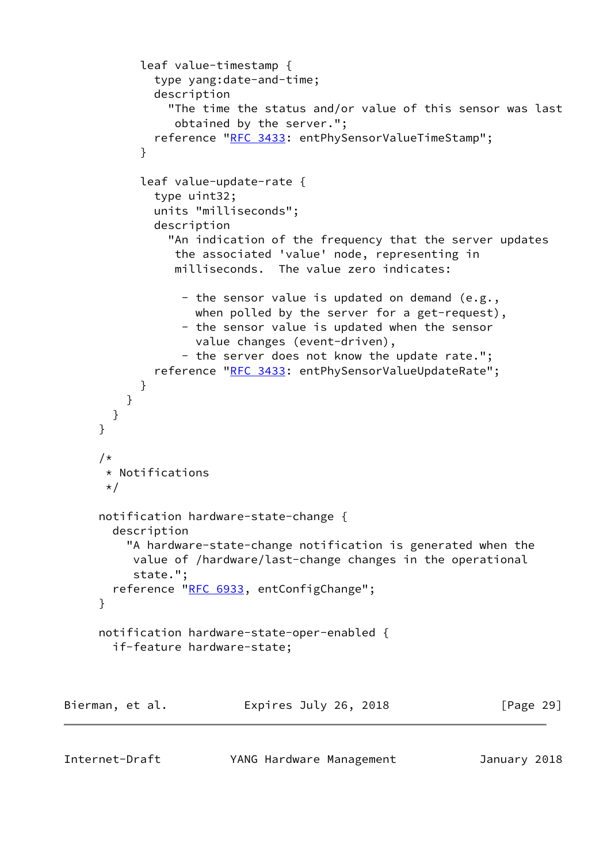```
 leaf value-timestamp {
             type yang:date-and-time;
             description
                "The time the status and/or value of this sensor was last
                obtained by the server.";
             reference "RFC 3433: entPhySensorValueTimeStamp";
 }
           leaf value-update-rate {
             type uint32;
             units "milliseconds";
             description
               "An indication of the frequency that the server updates
                the associated 'value' node, representing in
                milliseconds. The value zero indicates:
                 - the sensor value is updated on demand (e.g.,
                  when polled by the server for a get-request),
                 - the sensor value is updated when the sensor
                   value changes (event-driven),
                - the server does not know the update rate.";
            "RFC 3433: entPhySensorValueUpdateRate";
 }
         }
       }
      }
      /*
      * Notifications
       */
     notification hardware-state-change {
       description
          "A hardware-state-change notification is generated when the
          value of /hardware/last-change changes in the operational
          state.";
      RFC 6933, entConfigChange";
      }
     notification hardware-state-oper-enabled {
       if-feature hardware-state;
Bierman, et al. Expires July 26, 2018 [Page 29]
```
Internet-Draft YANG Hardware Management January 2018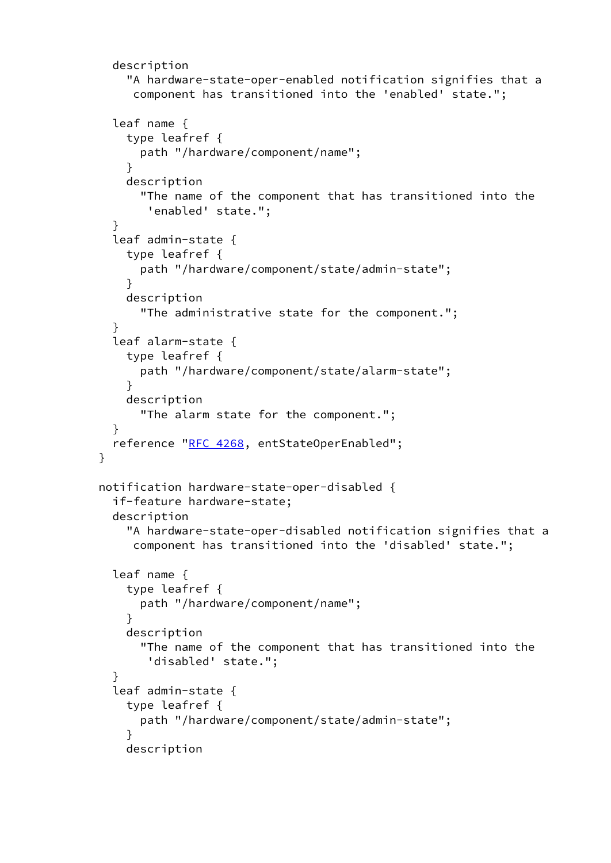```
 description
          "A hardware-state-oper-enabled notification signifies that a
          component has transitioned into the 'enabled' state.";
       leaf name {
          type leafref {
           path "/hardware/component/name";
 }
         description
            "The name of the component that has transitioned into the
             'enabled' state.";
       }
       leaf admin-state {
         type leafref {
           path "/hardware/component/state/admin-state";
 }
         description
            "The administrative state for the component.";
 }
       leaf alarm-state {
         type leafref {
           path "/hardware/component/state/alarm-state";
 }
         description
            "The alarm state for the component.";
       }
       reference "RFC 4268, entStateOperEnabled";
     }
     notification hardware-state-oper-disabled {
       if-feature hardware-state;
       description
          "A hardware-state-oper-disabled notification signifies that a
          component has transitioned into the 'disabled' state.";
       leaf name {
         type leafref {
           path "/hardware/component/name";
 }
         description
            "The name of the component that has transitioned into the
             'disabled' state.";
        }
       leaf admin-state {
         type leafref {
           path "/hardware/component/state/admin-state";
 }
         description
```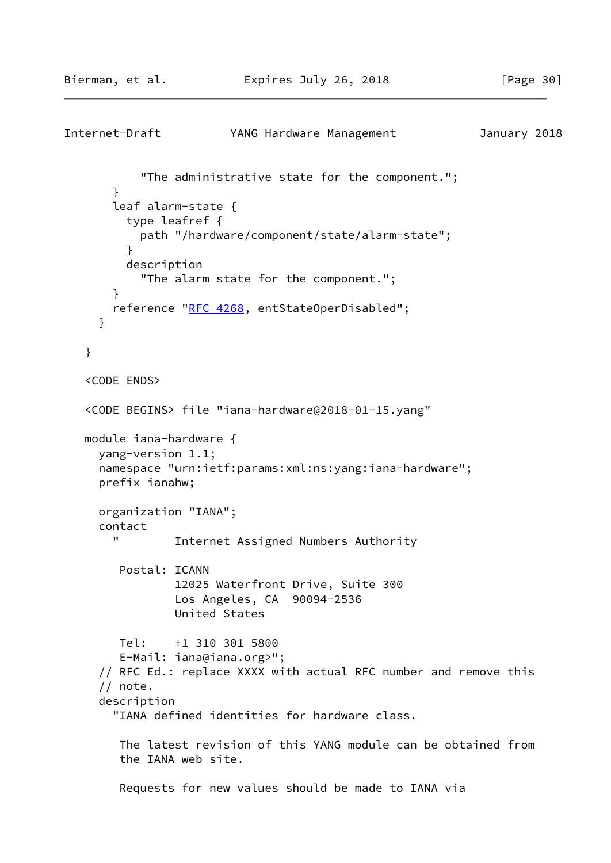```
Internet-Draft YANG Hardware Management January 2018
            "The administrative state for the component.";
        }
        leaf alarm-state {
          type leafref {
            path "/hardware/component/state/alarm-state";
 }
          description
            "The alarm state for the component.";
        }
        reference "RFC 4268, entStateOperDisabled";
      }
    }
    <CODE ENDS>
    <CODE BEGINS> file "iana-hardware@2018-01-15.yang"
   module iana-hardware {
      yang-version 1.1;
      namespace "urn:ietf:params:xml:ns:yang:iana-hardware";
      prefix ianahw;
      organization "IANA";
      contact
        " Internet Assigned Numbers Authority
         Postal: ICANN
                 12025 Waterfront Drive, Suite 300
                 Los Angeles, CA 90094-2536
                 United States
         Tel: +1 310 301 5800
         E-Mail: iana@iana.org>";
      // RFC Ed.: replace XXXX with actual RFC number and remove this
      // note.
      description
        "IANA defined identities for hardware class.
         The latest revision of this YANG module can be obtained from
         the IANA web site.
         Requests for new values should be made to IANA via
```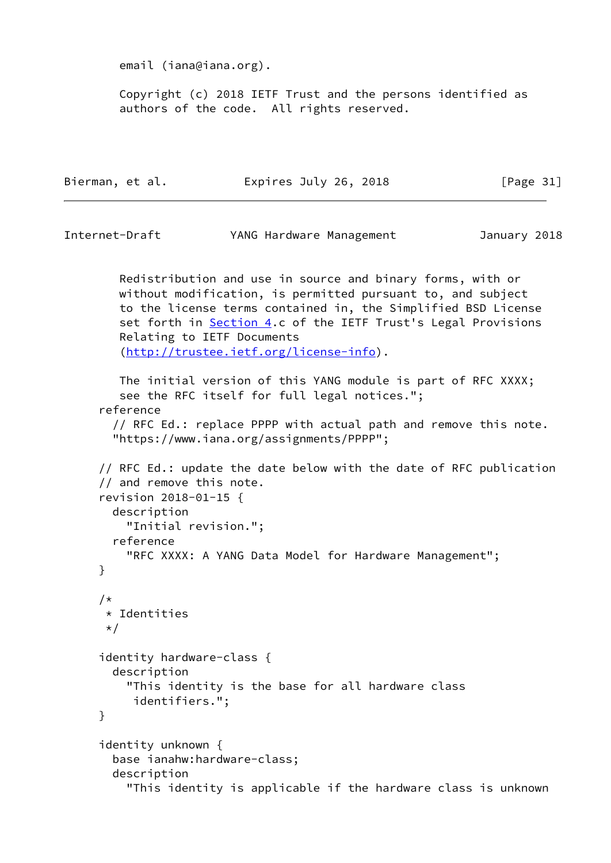email (iana@iana.org).

 Copyright (c) 2018 IETF Trust and the persons identified as authors of the code. All rights reserved.

| Bierman, et al. | Expires July 26, 2018 | [Page 31] |
|-----------------|-----------------------|-----------|
|-----------------|-----------------------|-----------|

Internet-Draft YANG Hardware Management January 2018

 Redistribution and use in source and binary forms, with or without modification, is permitted pursuant to, and subject to the license terms contained in, the Simplified BSD License set forth in [Section 4.](#page-4-0)c of the IETF Trust's Legal Provisions Relating to IETF Documents [\(http://trustee.ietf.org/license-info](http://trustee.ietf.org/license-info)).

 The initial version of this YANG module is part of RFC XXXX; see the RFC itself for full legal notices."; reference // RFC Ed.: replace PPPP with actual path and remove this note.

```
 "https://www.iana.org/assignments/PPPP";
```
 // RFC Ed.: update the date below with the date of RFC publication // and remove this note. revision 2018-01-15 { description "Initial revision."; reference "RFC XXXX: A YANG Data Model for Hardware Management"; } /\* \* Identities  $\star/$  identity hardware-class { description "This identity is the base for all hardware class identifiers."; } identity unknown { base ianahw:hardware-class; description "This identity is applicable if the hardware class is unknown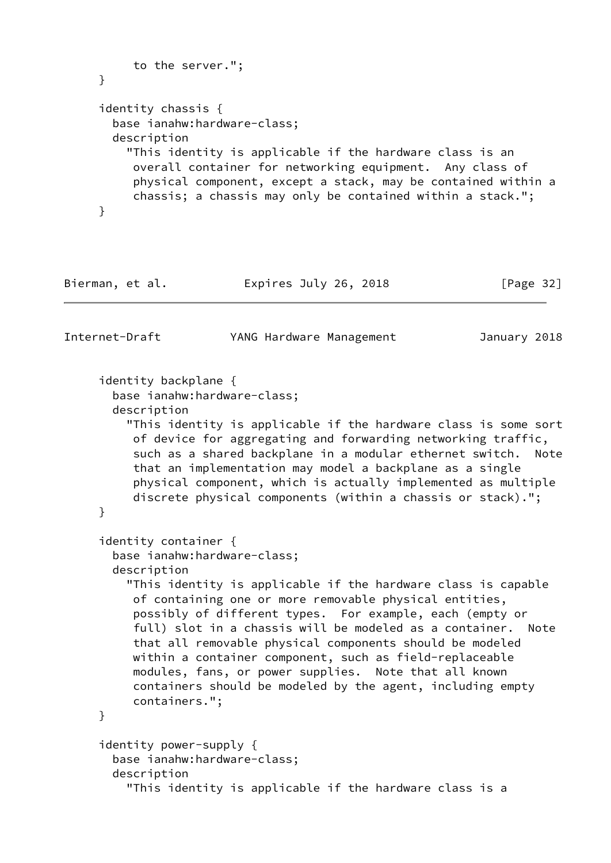```
 to the server.";
      }
      identity chassis {
        base ianahw:hardware-class;
        description
          "This identity is applicable if the hardware class is an
           overall container for networking equipment. Any class of
           physical component, except a stack, may be contained within a
           chassis; a chassis may only be contained within a stack.";
      }
Bierman, et al.             Expires July 26, 2018             [Page 32]
Internet-Draft YANG Hardware Management January 2018
      identity backplane {
        base ianahw:hardware-class;
        description
          "This identity is applicable if the hardware class is some sort
           of device for aggregating and forwarding networking traffic,
           such as a shared backplane in a modular ethernet switch. Note
           that an implementation may model a backplane as a single
           physical component, which is actually implemented as multiple
           discrete physical components (within a chassis or stack).";
      }
      identity container {
        base ianahw:hardware-class;
        description
          "This identity is applicable if the hardware class is capable
           of containing one or more removable physical entities,
           possibly of different types. For example, each (empty or
           full) slot in a chassis will be modeled as a container. Note
           that all removable physical components should be modeled
           within a container component, such as field-replaceable
           modules, fans, or power supplies. Note that all known
           containers should be modeled by the agent, including empty
           containers.";
      }
      identity power-supply {
        base ianahw:hardware-class;
        description
          "This identity is applicable if the hardware class is a
```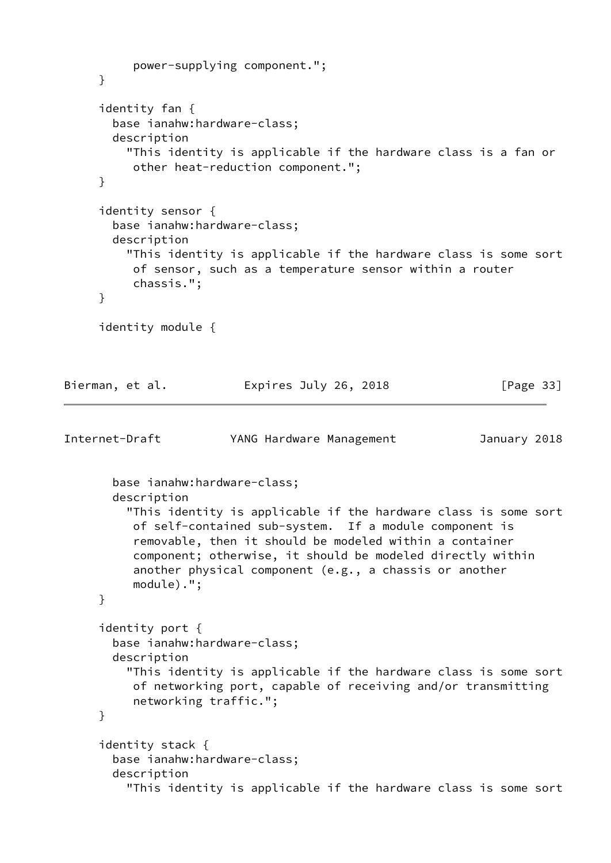```
 power-supplying component.";
      }
      identity fan {
        base ianahw:hardware-class;
        description
          "This identity is applicable if the hardware class is a fan or
           other heat-reduction component.";
      }
      identity sensor {
        base ianahw:hardware-class;
        description
          "This identity is applicable if the hardware class is some sort
           of sensor, such as a temperature sensor within a router
           chassis.";
      }
      identity module {
Bierman, et al.               Expires July 26, 2018               [Page 33]
Internet-Draft YANG Hardware Management January 2018
        base ianahw:hardware-class;
        description
          "This identity is applicable if the hardware class is some sort
           of self-contained sub-system. If a module component is
           removable, then it should be modeled within a container
           component; otherwise, it should be modeled directly within
           another physical component (e.g., a chassis or another
           module).";
      }
      identity port {
        base ianahw:hardware-class;
        description
          "This identity is applicable if the hardware class is some sort
           of networking port, capable of receiving and/or transmitting
           networking traffic.";
      }
      identity stack {
        base ianahw:hardware-class;
        description
          "This identity is applicable if the hardware class is some sort
```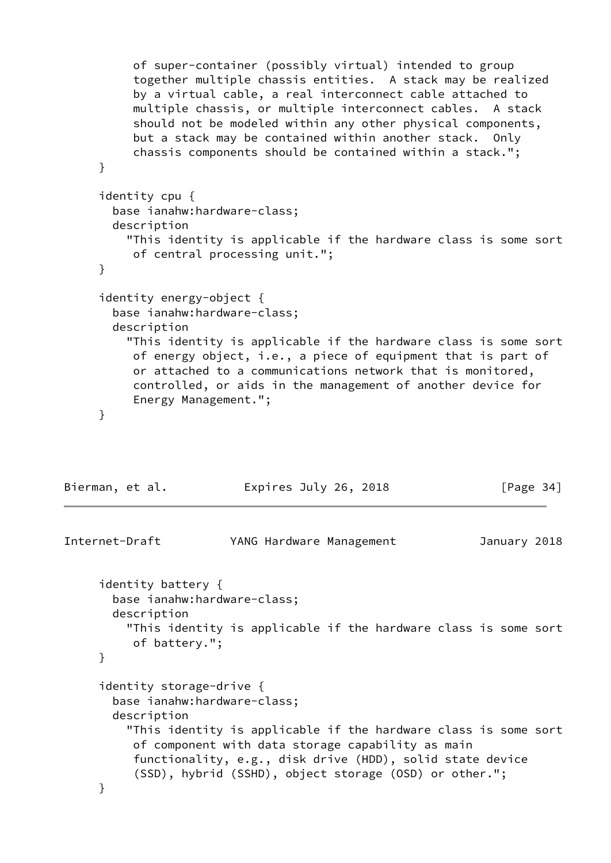<span id="page-38-0"></span> of super-container (possibly virtual) intended to group together multiple chassis entities. A stack may be realized by a virtual cable, a real interconnect cable attached to multiple chassis, or multiple interconnect cables. A stack should not be modeled within any other physical components, but a stack may be contained within another stack. Only chassis components should be contained within a stack."; } identity cpu { base ianahw:hardware-class; description "This identity is applicable if the hardware class is some sort of central processing unit."; } identity energy-object { base ianahw:hardware-class; description "This identity is applicable if the hardware class is some sort of energy object, i.e., a piece of equipment that is part of or attached to a communications network that is monitored, controlled, or aids in the management of another device for Energy Management."; } Bierman, et al. Expires July 26, 2018 [Page 34] Internet-Draft YANG Hardware Management January 2018 identity battery { base ianahw:hardware-class; description "This identity is applicable if the hardware class is some sort of battery."; } identity storage-drive { base ianahw:hardware-class; description "This identity is applicable if the hardware class is some sort of component with data storage capability as main functionality, e.g., disk drive (HDD), solid state device (SSD), hybrid (SSHD), object storage (OSD) or other."; }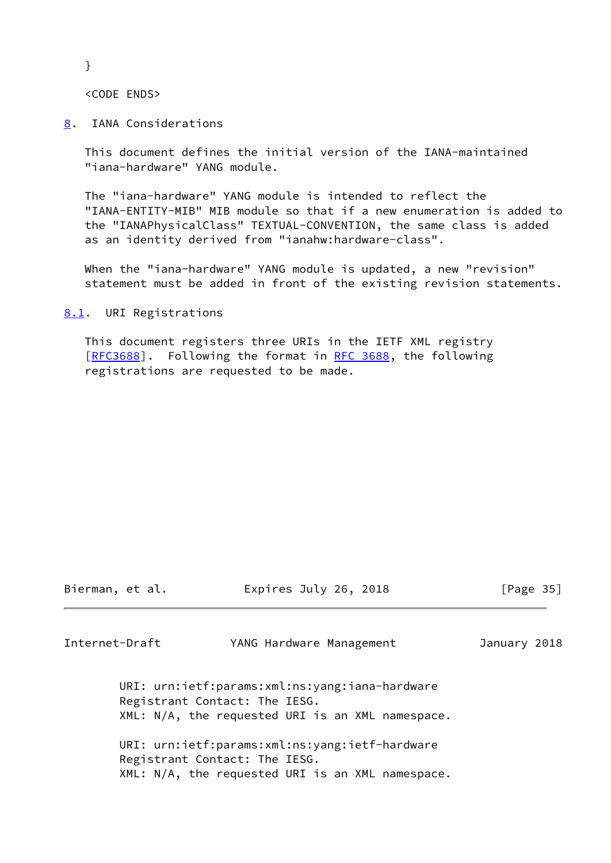}

<CODE ENDS>

<span id="page-39-0"></span>[8](#page-39-0). IANA Considerations

 This document defines the initial version of the IANA-maintained "iana-hardware" YANG module.

 The "iana-hardware" YANG module is intended to reflect the "IANA-ENTITY-MIB" MIB module so that if a new enumeration is added to the "IANAPhysicalClass" TEXTUAL-CONVENTION, the same class is added as an identity derived from "ianahw:hardware-class".

 When the "iana-hardware" YANG module is updated, a new "revision" statement must be added in front of the existing revision statements.

<span id="page-39-1"></span>[8.1](#page-39-1). URI Registrations

 This document registers three URIs in the IETF XML registry [\[RFC3688](https://datatracker.ietf.org/doc/pdf/rfc3688)]. Following the format in [RFC 3688,](https://datatracker.ietf.org/doc/pdf/rfc3688) the following registrations are requested to be made.

Bierman, et al. Expires July 26, 2018 [Page 35]

<span id="page-39-2"></span>Internet-Draft YANG Hardware Management January 2018

 URI: urn:ietf:params:xml:ns:yang:iana-hardware Registrant Contact: The IESG. XML: N/A, the requested URI is an XML namespace.

 URI: urn:ietf:params:xml:ns:yang:ietf-hardware Registrant Contact: The IESG. XML: N/A, the requested URI is an XML namespace.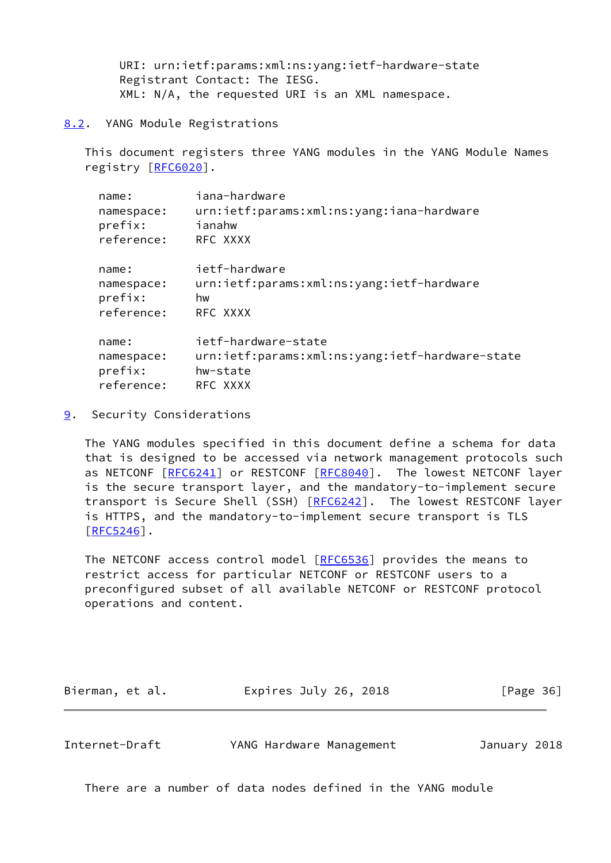URI: urn:ietf:params:xml:ns:yang:ietf-hardware-state Registrant Contact: The IESG. XML: N/A, the requested URI is an XML namespace.

#### <span id="page-40-0"></span>[8.2](#page-40-0). YANG Module Registrations

 This document registers three YANG modules in the YANG Module Names registry [\[RFC6020](https://datatracker.ietf.org/doc/pdf/rfc6020)].

| name:      | iana-hardware                                   |
|------------|-------------------------------------------------|
| namespace: | urn:ietf:params:xml:ns:yang:iana-hardware       |
| prefix:    | ianahw                                          |
| reference: | RFC XXXX                                        |
| name:      | ietf-hardware                                   |
| namespace: | urn:ietf:params:xml:ns:yang:ietf-hardware       |
| prefix:    | hw                                              |
| reference: | RFC XXXX                                        |
| name:      | ietf-hardware-state                             |
| namespace: | urn:ietf:params:xml:ns:yang:ietf-hardware-state |
| prefix:    | hw-state                                        |
| reference: | RFC XXXX                                        |
|            |                                                 |

<span id="page-40-1"></span>[9](#page-40-1). Security Considerations

 The YANG modules specified in this document define a schema for data that is designed to be accessed via network management protocols such as NETCONF [[RFC6241\]](https://datatracker.ietf.org/doc/pdf/rfc6241) or RESTCONF [\[RFC8040](https://datatracker.ietf.org/doc/pdf/rfc8040)]. The lowest NETCONF layer is the secure transport layer, and the mandatory-to-implement secure transport is Secure Shell (SSH) [\[RFC6242](https://datatracker.ietf.org/doc/pdf/rfc6242)]. The lowest RESTCONF layer is HTTPS, and the mandatory-to-implement secure transport is TLS  $[REC5246]$ .

The NETCONF access control model [\[RFC6536](https://datatracker.ietf.org/doc/pdf/rfc6536)] provides the means to restrict access for particular NETCONF or RESTCONF users to a preconfigured subset of all available NETCONF or RESTCONF protocol operations and content.

| Bierman, et al. | Expires July 26, 2018 | [Page 36] |
|-----------------|-----------------------|-----------|
|-----------------|-----------------------|-----------|

<span id="page-40-2"></span>

| Internet-Draft | YANG Hardware Management | January 2018 |  |
|----------------|--------------------------|--------------|--|
|                |                          |              |  |

There are a number of data nodes defined in the YANG module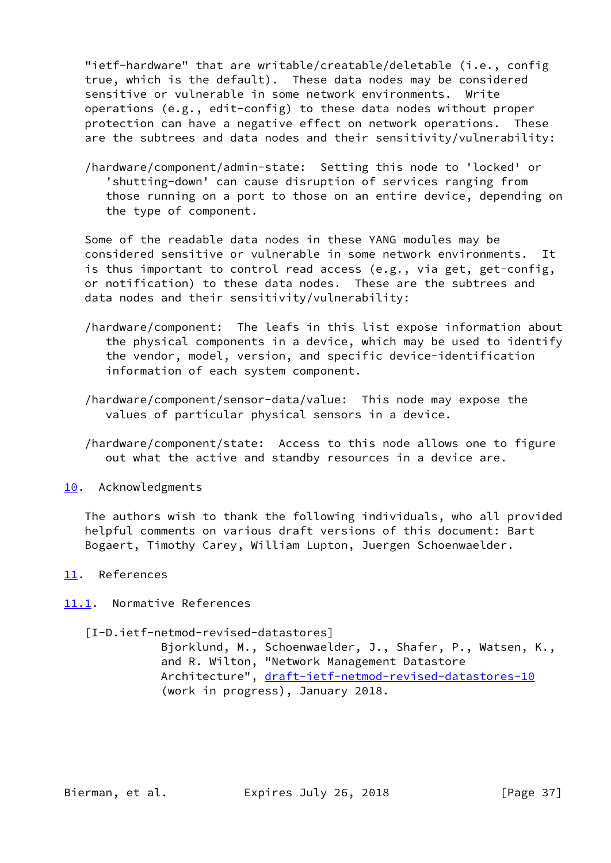"ietf-hardware" that are writable/creatable/deletable (i.e., config true, which is the default). These data nodes may be considered sensitive or vulnerable in some network environments. Write operations (e.g., edit-config) to these data nodes without proper protection can have a negative effect on network operations. These are the subtrees and data nodes and their sensitivity/vulnerability:

 /hardware/component/admin-state: Setting this node to 'locked' or 'shutting-down' can cause disruption of services ranging from those running on a port to those on an entire device, depending on the type of component.

 Some of the readable data nodes in these YANG modules may be considered sensitive or vulnerable in some network environments. It is thus important to control read access (e.g., via get, get-config, or notification) to these data nodes. These are the subtrees and data nodes and their sensitivity/vulnerability:

- /hardware/component: The leafs in this list expose information about the physical components in a device, which may be used to identify the vendor, model, version, and specific device-identification information of each system component.
- /hardware/component/sensor-data/value: This node may expose the values of particular physical sensors in a device.
- /hardware/component/state: Access to this node allows one to figure out what the active and standby resources in a device are.
- <span id="page-41-0"></span>[10.](#page-41-0) Acknowledgments

 The authors wish to thank the following individuals, who all provided helpful comments on various draft versions of this document: Bart Bogaert, Timothy Carey, William Lupton, Juergen Schoenwaelder.

- <span id="page-41-1"></span>[11.](#page-41-1) References
- <span id="page-41-3"></span><span id="page-41-2"></span>[11.1](#page-41-2). Normative References
	- [I-D.ietf-netmod-revised-datastores]

 Bjorklund, M., Schoenwaelder, J., Shafer, P., Watsen, K., and R. Wilton, "Network Management Datastore Architecture", [draft-ietf-netmod-revised-datastores-10](https://datatracker.ietf.org/doc/pdf/draft-ietf-netmod-revised-datastores-10) (work in progress), January 2018.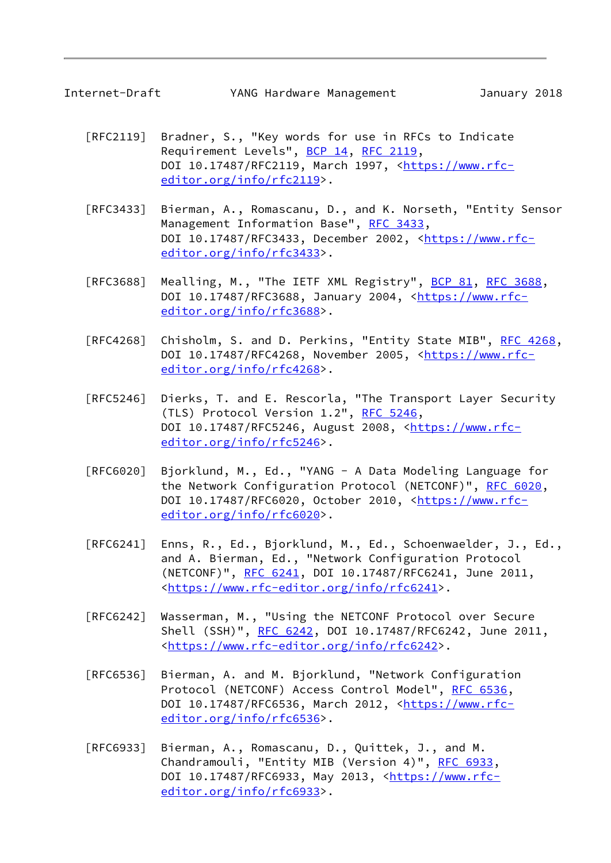- [RFC2119] Bradner, S., "Key words for use in RFCs to Indicate Requirement Levels", [BCP 14](https://datatracker.ietf.org/doc/pdf/bcp14), [RFC 2119](https://datatracker.ietf.org/doc/pdf/rfc2119), DOI 10.17487/RFC2119, March 1997, [<https://www.rfc](https://www.rfc-editor.org/info/rfc2119) [editor.org/info/rfc2119](https://www.rfc-editor.org/info/rfc2119)>.
- [RFC3433] Bierman, A., Romascanu, D., and K. Norseth, "Entity Sensor Management Information Base", [RFC 3433](https://datatracker.ietf.org/doc/pdf/rfc3433), DOI 10.17487/RFC3433, December 2002, [<https://www.rfc](https://www.rfc-editor.org/info/rfc3433) [editor.org/info/rfc3433](https://www.rfc-editor.org/info/rfc3433)>.
- [RFC3688] Mealling, M., "The IETF XML Registry", [BCP 81](https://datatracker.ietf.org/doc/pdf/bcp81), [RFC 3688](https://datatracker.ietf.org/doc/pdf/rfc3688), DOI 10.17487/RFC3688, January 2004, [<https://www.rfc](https://www.rfc-editor.org/info/rfc3688) [editor.org/info/rfc3688](https://www.rfc-editor.org/info/rfc3688)>.
- [RFC4268] Chisholm, S. and D. Perkins, "Entity State MIB", [RFC 4268,](https://datatracker.ietf.org/doc/pdf/rfc4268) DOI 10.17487/RFC4268, November 2005, [<https://www.rfc](https://www.rfc-editor.org/info/rfc4268) [editor.org/info/rfc4268](https://www.rfc-editor.org/info/rfc4268)>.
- [RFC5246] Dierks, T. and E. Rescorla, "The Transport Layer Security (TLS) Protocol Version 1.2", [RFC 5246](https://datatracker.ietf.org/doc/pdf/rfc5246), DOI 10.17487/RFC5246, August 2008, <[https://www.rfc](https://www.rfc-editor.org/info/rfc5246) [editor.org/info/rfc5246](https://www.rfc-editor.org/info/rfc5246)>.
- [RFC6020] Bjorklund, M., Ed., "YANG A Data Modeling Language for the Network Configuration Protocol (NETCONF)", [RFC 6020](https://datatracker.ietf.org/doc/pdf/rfc6020), DOI 10.17487/RFC6020, October 2010, [<https://www.rfc](https://www.rfc-editor.org/info/rfc6020) [editor.org/info/rfc6020](https://www.rfc-editor.org/info/rfc6020)>.
- [RFC6241] Enns, R., Ed., Bjorklund, M., Ed., Schoenwaelder, J., Ed., and A. Bierman, Ed., "Network Configuration Protocol (NETCONF)", [RFC 6241,](https://datatracker.ietf.org/doc/pdf/rfc6241) DOI 10.17487/RFC6241, June 2011, <[https://www.rfc-editor.org/info/rfc6241>](https://www.rfc-editor.org/info/rfc6241).
- [RFC6242] Wasserman, M., "Using the NETCONF Protocol over Secure Shell (SSH)", [RFC 6242](https://datatracker.ietf.org/doc/pdf/rfc6242), DOI 10.17487/RFC6242, June 2011, <[https://www.rfc-editor.org/info/rfc6242>](https://www.rfc-editor.org/info/rfc6242).
- [RFC6536] Bierman, A. and M. Bjorklund, "Network Configuration Protocol (NETCONF) Access Control Model", [RFC 6536](https://datatracker.ietf.org/doc/pdf/rfc6536), DOI 10.17487/RFC6536, March 2012, [<https://www.rfc](https://www.rfc-editor.org/info/rfc6536) [editor.org/info/rfc6536](https://www.rfc-editor.org/info/rfc6536)>.
- [RFC6933] Bierman, A., Romascanu, D., Quittek, J., and M. Chandramouli, "Entity MIB (Version 4)", [RFC 6933,](https://datatracker.ietf.org/doc/pdf/rfc6933) DOI 10.17487/RFC6933, May 2013, <[https://www.rfc](https://www.rfc-editor.org/info/rfc6933) [editor.org/info/rfc6933](https://www.rfc-editor.org/info/rfc6933)>.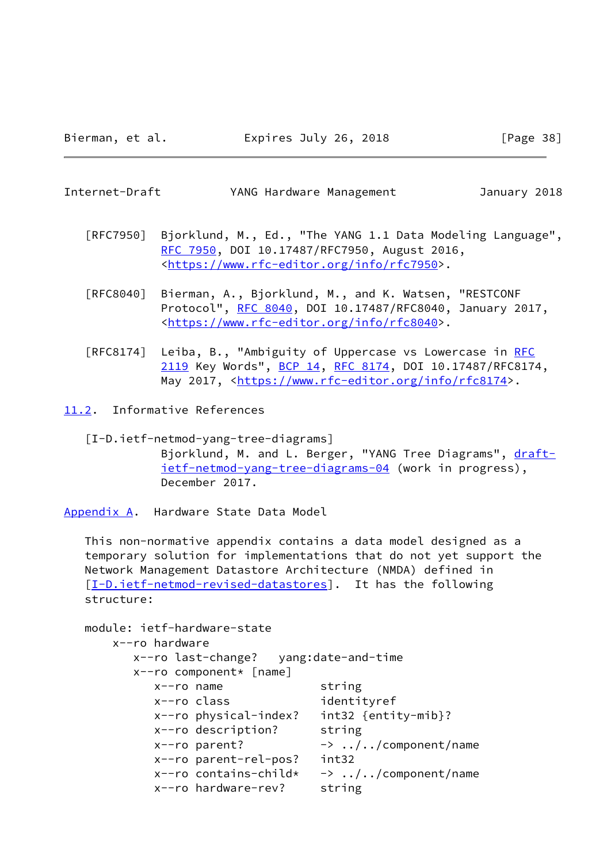<span id="page-43-1"></span>Internet-Draft YANG Hardware Management January 2018

- [RFC7950] Bjorklund, M., Ed., "The YANG 1.1 Data Modeling Language", [RFC 7950,](https://datatracker.ietf.org/doc/pdf/rfc7950) DOI 10.17487/RFC7950, August 2016, <[https://www.rfc-editor.org/info/rfc7950>](https://www.rfc-editor.org/info/rfc7950).
- [RFC8040] Bierman, A., Bjorklund, M., and K. Watsen, "RESTCONF Protocol", [RFC 8040](https://datatracker.ietf.org/doc/pdf/rfc8040), DOI 10.17487/RFC8040, January 2017, <[https://www.rfc-editor.org/info/rfc8040>](https://www.rfc-editor.org/info/rfc8040).
- [RFC8174] Leiba, B., "Ambiguity of Uppercase vs Lowercase in [RFC](https://datatracker.ietf.org/doc/pdf/rfc2119) [2119](https://datatracker.ietf.org/doc/pdf/rfc2119) Key Words", [BCP 14](https://datatracker.ietf.org/doc/pdf/bcp14), [RFC 8174,](https://datatracker.ietf.org/doc/pdf/rfc8174) DOI 10.17487/RFC8174, May 2017, [<https://www.rfc-editor.org/info/rfc8174](https://www.rfc-editor.org/info/rfc8174)>.
- <span id="page-43-0"></span>[11.2](#page-43-0). Informative References

<span id="page-43-3"></span> [I-D.ietf-netmod-yang-tree-diagrams] Bjorklund, M. and L. Berger, "YANG Tree Diagrams", [draft](https://datatracker.ietf.org/doc/pdf/draft-ietf-netmod-yang-tree-diagrams-04) [ietf-netmod-yang-tree-diagrams-04](https://datatracker.ietf.org/doc/pdf/draft-ietf-netmod-yang-tree-diagrams-04) (work in progress), December 2017.

<span id="page-43-2"></span>[Appendix A.](#page-43-2) Hardware State Data Model

 This non-normative appendix contains a data model designed as a temporary solution for implementations that do not yet support the Network Management Datastore Architecture (NMDA) defined in [\[I-D.ietf-netmod-revised-datastores\]](#page-41-3). It has the following structure:

```
 module: ietf-hardware-state
    x--ro hardware
       x--ro last-change? yang:date-and-time
       x--ro component* [name]
          x--ro name string
          x--ro class identityref
          x--ro physical-index? int32 {entity-mib}?
          x--ro description? string
         x--ro parent? \rightarrow ../../component/name
          x--ro parent-rel-pos? int32
         x--ro contains-child* -> \ldots/../component/name
          x--ro hardware-rev? string
```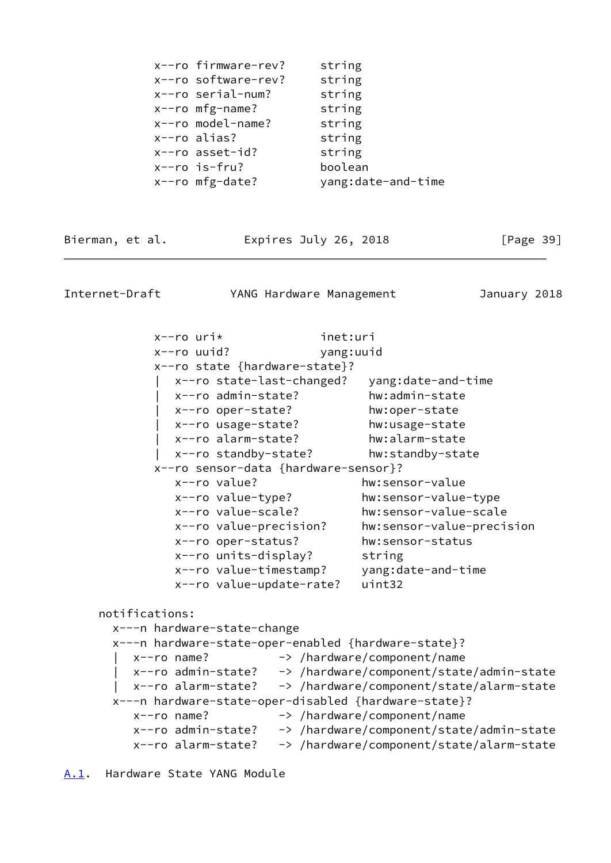|  | x--ro firmware-rev? | string             |
|--|---------------------|--------------------|
|  | x--ro software-rev? | string             |
|  | x--ro serial-num?   | string             |
|  | $x$ --ro mfg-name?  | string             |
|  | x--ro model-name?   | string             |
|  | $x$ --ro alias?     | string             |
|  | $x$ --ro asset-id?  | string             |
|  | $x$ --ro is-fru?    | boolean            |
|  | $x$ --ro mfg-date?  | yang:date-and-time |
|  |                     |                    |

Bierman, et al. Expires July 26, 2018 [Page 39]

<span id="page-44-1"></span>Internet-Draft YANG Hardware Management January 2018

 x--ro uri\* inet:uri x--ro uuid? yang:uuid x--ro state {hardware-state}? | x--ro state-last-changed? yang:date-and-time | x--ro admin-state? hw:admin-state | x--ro oper-state? hw:oper-state | x--ro usage-state? hw:usage-state | x--ro alarm-state? hw:alarm-state | x--ro standby-state? hw:standby-state x--ro sensor-data {hardware-sensor}? x--ro value? hw:sensor-value x--ro value-type? hw:sensor-value-type x--ro value-scale? hw:sensor-value-scale x--ro value-precision? hw:sensor-value-precision x--ro oper-status? hw:sensor-status x--ro units-display? string x--ro value-timestamp? yang:date-and-time x--ro value-update-rate? uint32 notifications: x---n hardware-state-change x---n hardware-state-oper-enabled {hardware-state}? x--ro name? -> /hardware/component/name | x--ro admin-state? -> /hardware/component/state/admin-state | x--ro alarm-state? -> /hardware/component/state/alarm-state x---n hardware-state-oper-disabled {hardware-state}? x--ro name? -> /hardware/component/name x--ro admin-state? -> /hardware/component/state/admin-state x--ro alarm-state? -> /hardware/component/state/alarm-state

<span id="page-44-0"></span>[A.1](#page-44-0). Hardware State YANG Module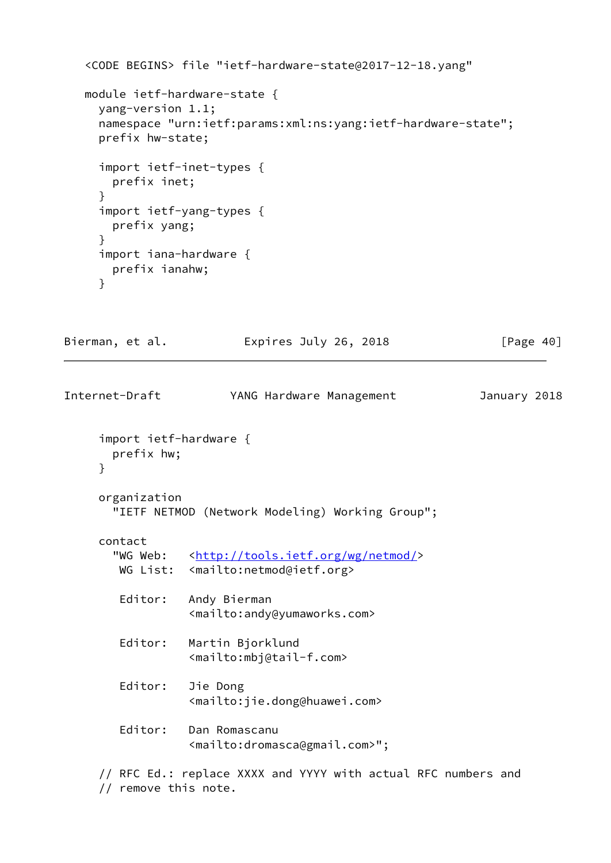```
 <CODE BEGINS> file "ietf-hardware-state@2017-12-18.yang"
    module ietf-hardware-state {
      yang-version 1.1;
      namespace "urn:ietf:params:xml:ns:yang:ietf-hardware-state";
      prefix hw-state;
      import ietf-inet-types {
        prefix inet;
      }
      import ietf-yang-types {
        prefix yang;
      }
      import iana-hardware {
        prefix ianahw;
      }
Bierman, et al.             Expires July 26, 2018               [Page 40]
Internet-Draft YANG Hardware Management January 2018
      import ietf-hardware {
```

```
 prefix hw;
```

```
 }
```

```
 organization
   "IETF NETMOD (Network Modeling) Working Group";
```
# contact

```
<http://tools.ietf.org/wg/netmod/>
WG List: <mailto:netmod@ietf.org>
```

```
 Editor: Andy Bierman
           <mailto:andy@yumaworks.com>
```

```
 Editor: Martin Bjorklund
           <mailto:mbj@tail-f.com>
```
 Editor: Jie Dong <mailto:jie.dong@huawei.com>

```
 Editor: Dan Romascanu
           <mailto:dromasca@gmail.com>";
```

```
 // RFC Ed.: replace XXXX and YYYY with actual RFC numbers and
 // remove this note.
```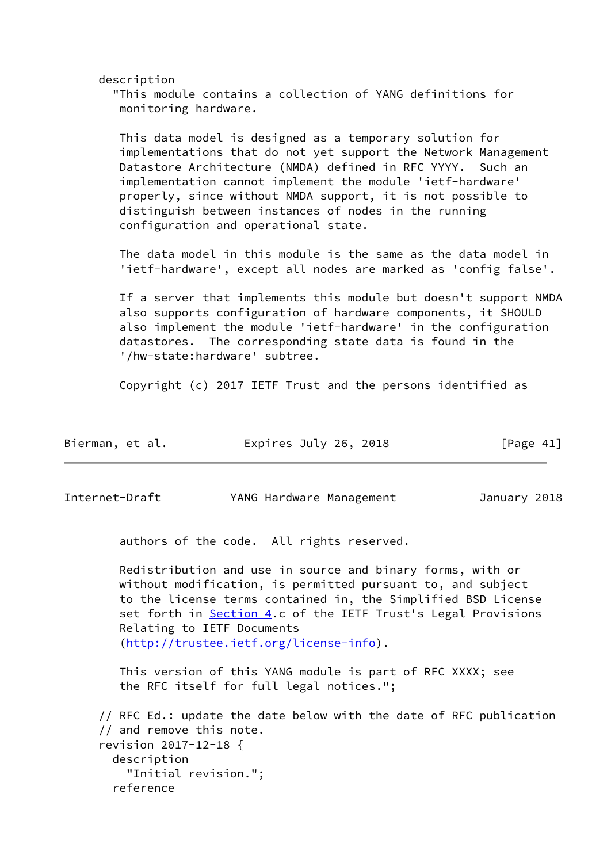description

 "This module contains a collection of YANG definitions for monitoring hardware.

 This data model is designed as a temporary solution for implementations that do not yet support the Network Management Datastore Architecture (NMDA) defined in RFC YYYY. Such an implementation cannot implement the module 'ietf-hardware' properly, since without NMDA support, it is not possible to distinguish between instances of nodes in the running configuration and operational state.

 The data model in this module is the same as the data model in 'ietf-hardware', except all nodes are marked as 'config false'.

 If a server that implements this module but doesn't support NMDA also supports configuration of hardware components, it SHOULD also implement the module 'ietf-hardware' in the configuration datastores. The corresponding state data is found in the '/hw-state:hardware' subtree.

Copyright (c) 2017 IETF Trust and the persons identified as

| Bierman, et al. | Expires July 26, 2018 | [Page 41] |
|-----------------|-----------------------|-----------|
|-----------------|-----------------------|-----------|

Internet-Draft YANG Hardware Management January 2018

authors of the code. All rights reserved.

 Redistribution and use in source and binary forms, with or without modification, is permitted pursuant to, and subject to the license terms contained in, the Simplified BSD License set forth in **Section 4.c** of the IETF Trust's Legal Provisions Relating to IETF Documents [\(http://trustee.ietf.org/license-info](http://trustee.ietf.org/license-info)).

 This version of this YANG module is part of RFC XXXX; see the RFC itself for full legal notices.";

 // RFC Ed.: update the date below with the date of RFC publication // and remove this note. revision 2017-12-18 { description "Initial revision."; reference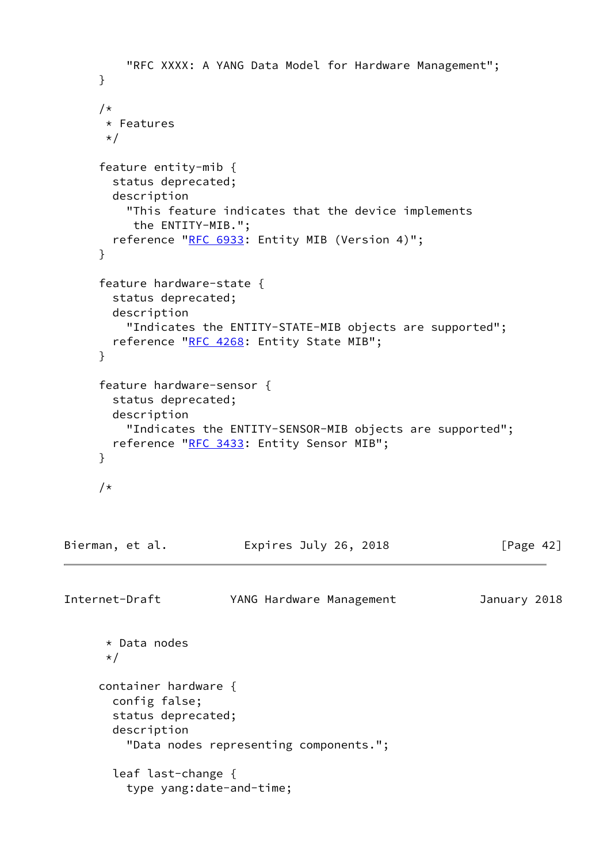```
 "RFC XXXX: A YANG Data Model for Hardware Management";
      }
      /*
       * Features
     \star/ feature entity-mib {
        status deprecated;
        description
          "This feature indicates that the device implements
           the ENTITY-MIB.";
       RFC 6933: Entity MIB (Version 4)";
      }
      feature hardware-state {
        status deprecated;
        description
          "Indicates the ENTITY-STATE-MIB objects are supported";
        reference "RFC 4268: Entity State MIB";
      }
      feature hardware-sensor {
        status deprecated;
        description
          "Indicates the ENTITY-SENSOR-MIB objects are supported";
       RFC 3433: Entity Sensor MIB";
      }
      /*
Bierman, et al.             Expires July 26, 2018             [Page 42]
Internet-Draft YANG Hardware Management January 2018
       * Data nodes
       */
      container hardware {
        config false;
        status deprecated;
        description
          "Data nodes representing components.";
        leaf last-change {
          type yang:date-and-time;
```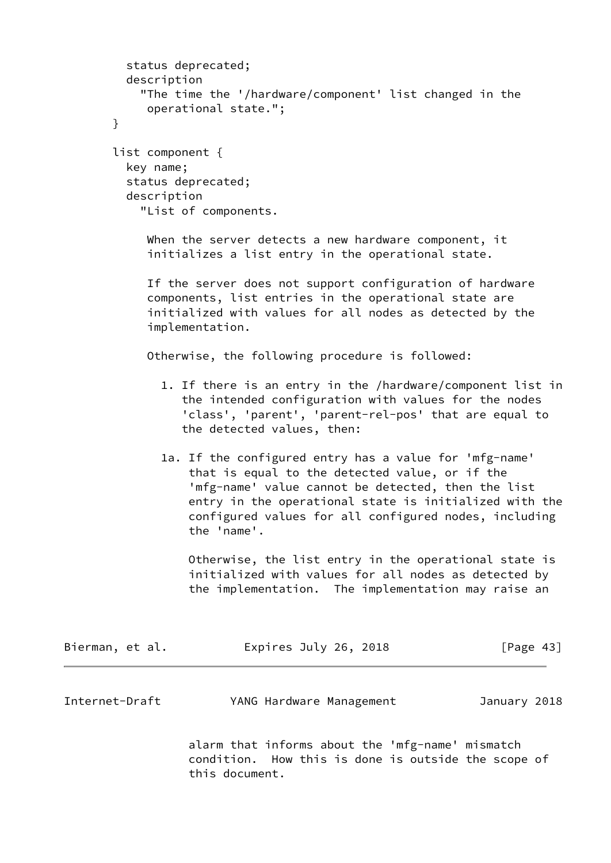```
 status deprecated;
          description
            "The time the '/hardware/component' list changed in the
             operational state.";
        }
        list component {
          key name;
          status deprecated;
          description
            "List of components.
             When the server detects a new hardware component, it
             initializes a list entry in the operational state.
             If the server does not support configuration of hardware
             components, list entries in the operational state are
             initialized with values for all nodes as detected by the
             implementation.
             Otherwise, the following procedure is followed:
               1. If there is an entry in the /hardware/component list in
                  the intended configuration with values for the nodes
                  'class', 'parent', 'parent-rel-pos' that are equal to
                  the detected values, then:
               1a. If the configured entry has a value for 'mfg-name'
                   that is equal to the detected value, or if the
                   'mfg-name' value cannot be detected, then the list
                   entry in the operational state is initialized with the
                   configured values for all configured nodes, including
                   the 'name'.
                   Otherwise, the list entry in the operational state is
                   initialized with values for all nodes as detected by
                   the implementation. The implementation may raise an
Bierman, et al.               Expires July 26, 2018               [Page 43]
Internet-Draft YANG Hardware Management January 2018
                   alarm that informs about the 'mfg-name' mismatch
                   condition. How this is done is outside the scope of
```
this document.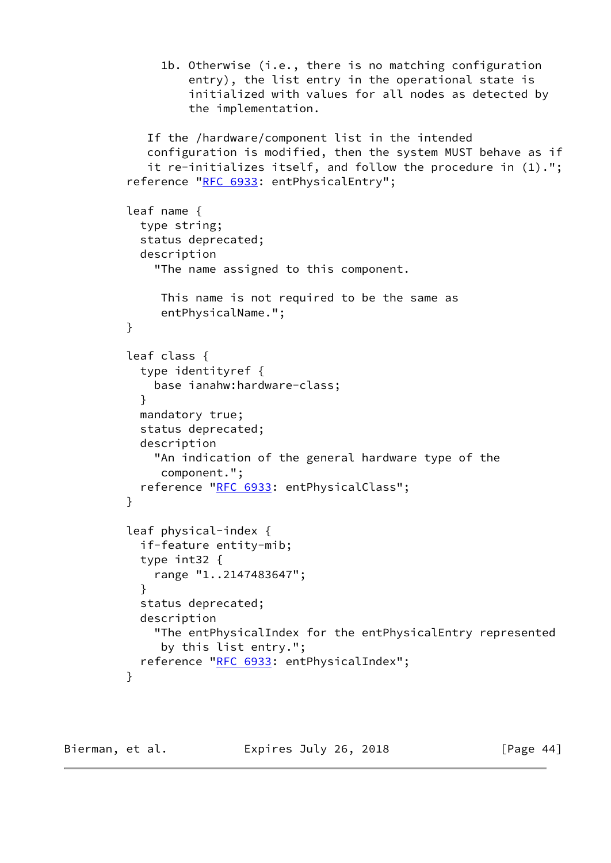```
 1b. Otherwise (i.e., there is no matching configuration
                  entry), the list entry in the operational state is
                  initialized with values for all nodes as detected by
                  the implementation.
            If the /hardware/component list in the intended
            configuration is modified, then the system MUST behave as if
            it re-initializes itself, and follow the procedure in (1).";
        "RFC 6933: entPhysicalEntry";
         leaf name {
           type string;
           status deprecated;
           description
             "The name assigned to this component.
              This name is not required to be the same as
              entPhysicalName.";
         }
         leaf class {
           type identityref {
             base ianahw:hardware-class;
 }
           mandatory true;
           status deprecated;
           description
             "An indication of the general hardware type of the
              component.";
          RFC 6933: entPhysicalClass";
 }
         leaf physical-index {
           if-feature entity-mib;
           type int32 {
             range "1..2147483647";
 }
           status deprecated;
           description
             "The entPhysicalIndex for the entPhysicalEntry represented
              by this list entry.";
          RFC 6933: entPhysicalIndex";
 }
```
Bierman, et al. Expires July 26, 2018 [Page 44]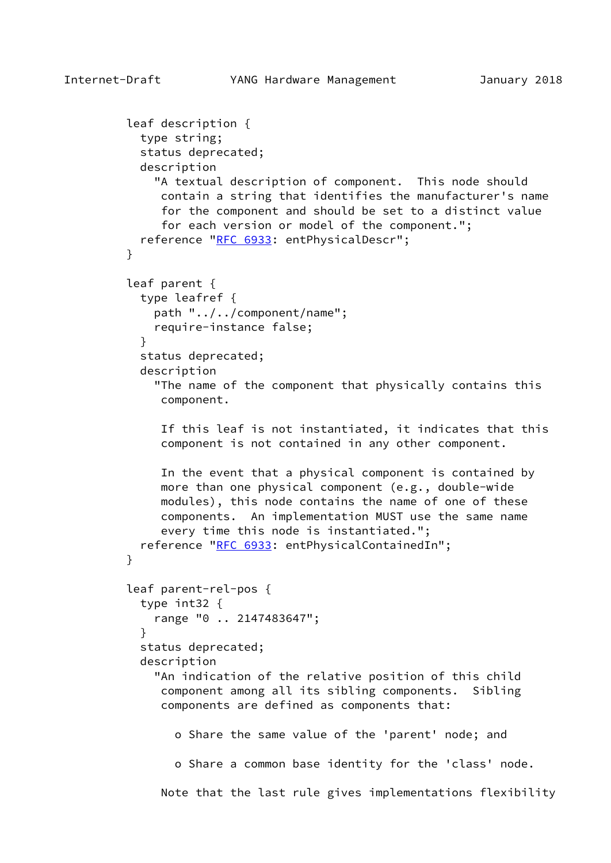```
Internet-Draft YANG Hardware Management January 2018
         leaf description {
           type string;
           status deprecated;
           description
             "A textual description of component. This node should
              contain a string that identifies the manufacturer's name
              for the component and should be set to a distinct value
              for each version or model of the component.";
          RFC 6933: entPhysicalDescr";
 }
         leaf parent {
           type leafref {
             path "../../component/name";
             require-instance false;
 }
           status deprecated;
           description
             "The name of the component that physically contains this
              component.
              If this leaf is not instantiated, it indicates that this
              component is not contained in any other component.
              In the event that a physical component is contained by
              more than one physical component (e.g., double-wide
              modules), this node contains the name of one of these
              components. An implementation MUST use the same name
              every time this node is instantiated.";
          RFC 6933: entPhysicalContainedIn";
 }
         leaf parent-rel-pos {
           type int32 {
             range "0 .. 2147483647";
 }
           status deprecated;
           description
             "An indication of the relative position of this child
              component among all its sibling components. Sibling
              components are defined as components that:
                o Share the same value of the 'parent' node; and
                o Share a common base identity for the 'class' node.
              Note that the last rule gives implementations flexibility
```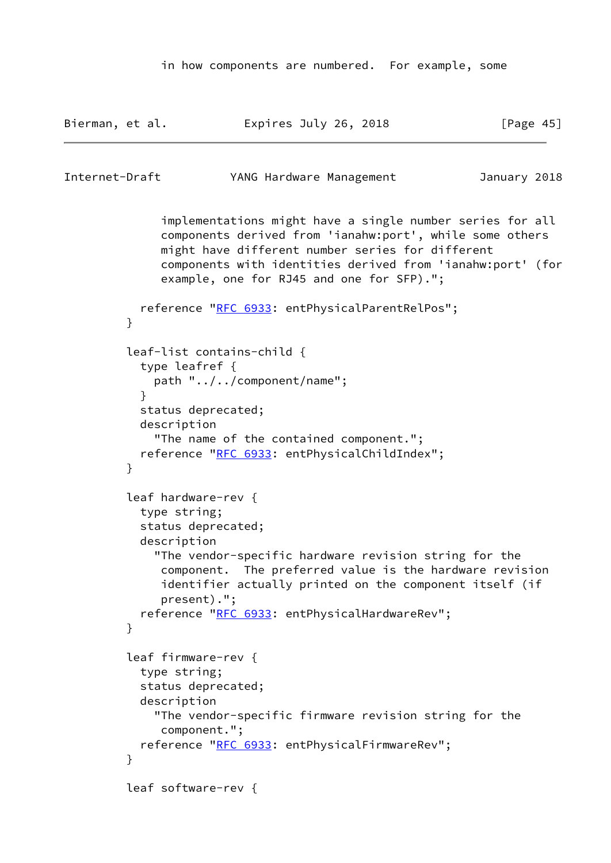```
 in how components are numbered. For example, some
```

```
Bierman, et al.               Expires July 26, 2018               [Page 45]
Internet-Draft YANG Hardware Management January 2018
              implementations might have a single number series for all
              components derived from 'ianahw:port', while some others
              might have different number series for different
              components with identities derived from 'ianahw:port' (for
              example, one for RJ45 and one for SFP).";
           reference "RFC 6933: entPhysicalParentRelPos";
         }
         leaf-list contains-child {
           type leafref {
             path "../../component/name";
 }
           status deprecated;
           description
             "The name of the contained component.";
          RFC 6933: entPhysicalChildIndex";
 }
         leaf hardware-rev {
           type string;
           status deprecated;
           description
             "The vendor-specific hardware revision string for the
              component. The preferred value is the hardware revision
              identifier actually printed on the component itself (if
              present).";
          RFC 6933: entPhysicalHardwareRev";
 }
         leaf firmware-rev {
           type string;
           status deprecated;
           description
             "The vendor-specific firmware revision string for the
              component.";
           reference "RFC 6933: entPhysicalFirmwareRev";
 }
         leaf software-rev {
```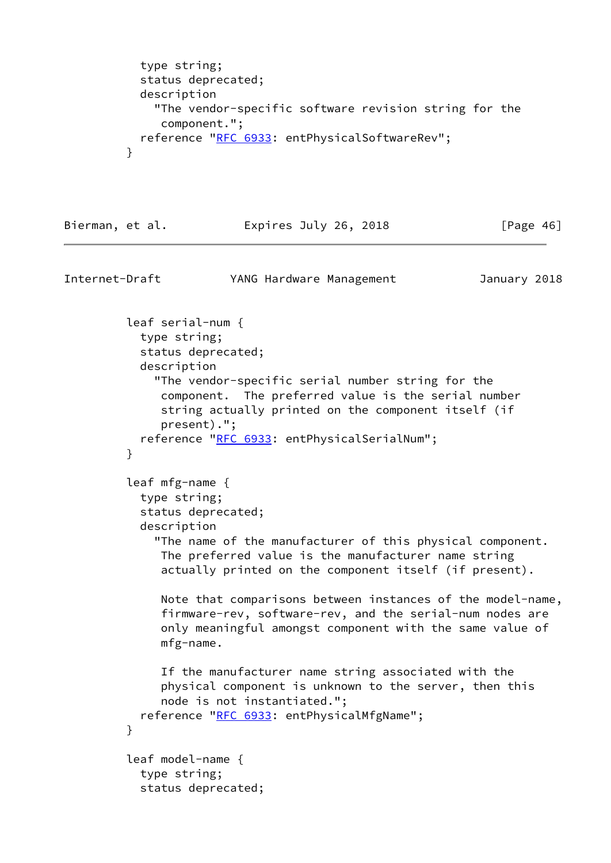```
 type string;
           status deprecated;
           description
             "The vendor-specific software revision string for the
              component.";
          RFC 6933: entPhysicalSoftwareRev";
 }
```
#### Bierman, et al. Expires July 26, 2018 [Page 46]

```
Internet-Draft YANG Hardware Management January 2018
         leaf serial-num {
           type string;
           status deprecated;
           description
              "The vendor-specific serial number string for the
              component. The preferred value is the serial number
              string actually printed on the component itself (if
              present).";
          RFC 6933: entPhysicalSerialNum";
 }
         leaf mfg-name {
           type string;
           status deprecated;
           description
              "The name of the manufacturer of this physical component.
              The preferred value is the manufacturer name string
              actually printed on the component itself (if present).
              Note that comparisons between instances of the model-name,
              firmware-rev, software-rev, and the serial-num nodes are
              only meaningful amongst component with the same value of
              mfg-name.
              If the manufacturer name string associated with the
              physical component is unknown to the server, then this
              node is not instantiated.";
           reference "RFC 6933: entPhysicalMfgName";
 }
         leaf model-name {
           type string;
           status deprecated;
```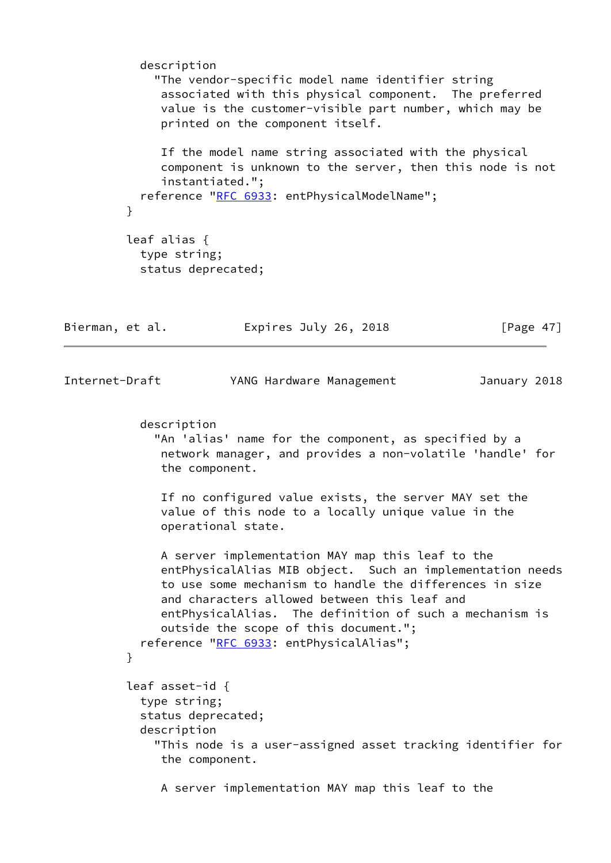```
 description
              "The vendor-specific model name identifier string
              associated with this physical component. The preferred
              value is the customer-visible part number, which may be
              printed on the component itself.
              If the model name string associated with the physical
              component is unknown to the server, then this node is not
              instantiated.";
           RFC 6933: entPhysicalModelName";
 }
          leaf alias {
           type string;
            status deprecated;
Bierman, et al. Expires July 26, 2018 [Page 47]
Internet-Draft YANG Hardware Management January 2018
            description
             "An 'alias' name for the component, as specified by a
              network manager, and provides a non-volatile 'handle' for
              the component.
              If no configured value exists, the server MAY set the
              value of this node to a locally unique value in the
              operational state.
              A server implementation MAY map this leaf to the
              entPhysicalAlias MIB object. Such an implementation needs
              to use some mechanism to handle the differences in size
              and characters allowed between this leaf and
              entPhysicalAlias. The definition of such a mechanism is
              outside the scope of this document.";
           reference "RFC 6933: entPhysicalAlias";
         }
          leaf asset-id {
            type string;
            status deprecated;
            description
             "This node is a user-assigned asset tracking identifier for
              the component.
              A server implementation MAY map this leaf to the
```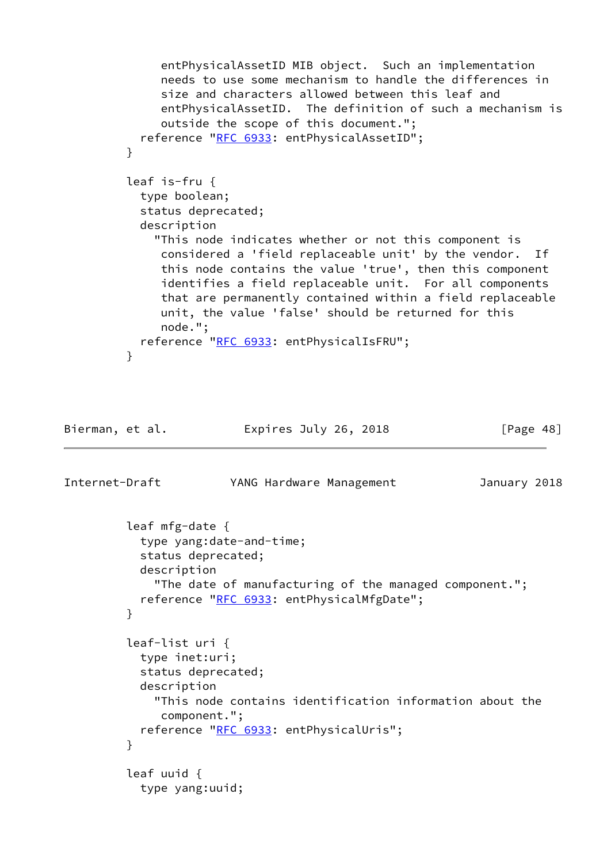```
 entPhysicalAssetID MIB object. Such an implementation
              needs to use some mechanism to handle the differences in
              size and characters allowed between this leaf and
              entPhysicalAssetID. The definition of such a mechanism is
              outside the scope of this document.";
          RFC 6933: entPhysicalAssetID";
 }
         leaf is-fru {
           type boolean;
           status deprecated;
           description
             "This node indicates whether or not this component is
              considered a 'field replaceable unit' by the vendor. If
              this node contains the value 'true', then this component
              identifies a field replaceable unit. For all components
              that are permanently contained within a field replaceable
              unit, the value 'false' should be returned for this
              node.";
           reference "RFC 6933: entPhysicalIsFRU";
 }
```
Bierman, et al. Expires July 26, 2018 [Page 48]

```
Internet-Draft YANG Hardware Management January 2018
         leaf mfg-date {
           type yang:date-and-time;
           status deprecated;
           description
             "The date of manufacturing of the managed component.";
          RFC 6933: entPhysicalMfgDate";
         }
         leaf-list uri {
           type inet:uri;
           status deprecated;
           description
             "This node contains identification information about the
              component.";
          RFC 6933: entPhysicalUris";
 }
         leaf uuid {
           type yang:uuid;
```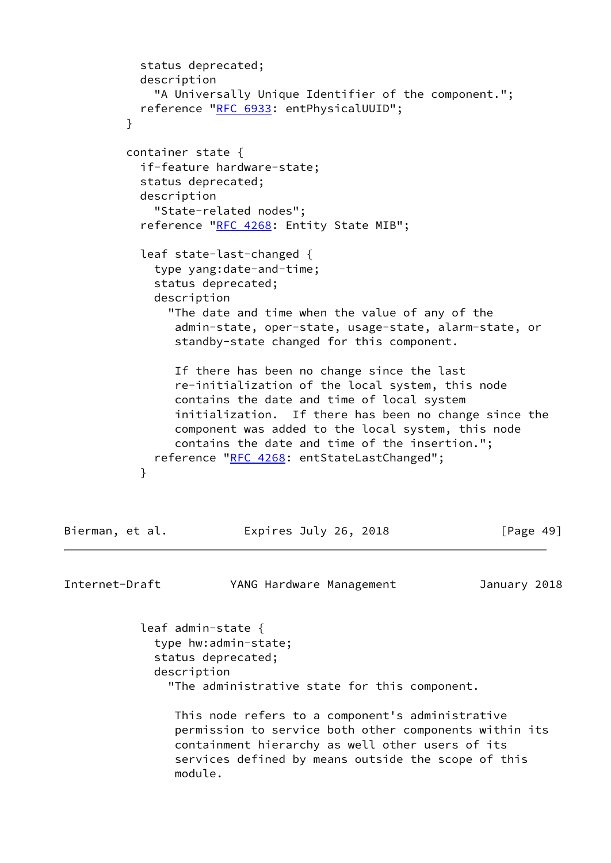```
 status deprecated;
           description
             "A Universally Unique Identifier of the component.";
           reference "RFC 6933: entPhysicalUUID";
 }
         container state {
           if-feature hardware-state;
           status deprecated;
           description
             "State-related nodes";
          RFC 4268: Entity State MIB";
           leaf state-last-changed {
             type yang:date-and-time;
             status deprecated;
             description
               "The date and time when the value of any of the
                admin-state, oper-state, usage-state, alarm-state, or
                standby-state changed for this component.
                If there has been no change since the last
                re-initialization of the local system, this node
                contains the date and time of local system
                initialization. If there has been no change since the
                component was added to the local system, this node
                contains the date and time of the insertion.";
            "RFC 4268: entStateLastChanged";
 }
```

| Bierman, et al. | Expires July 26, 2018 | [Page 49] |
|-----------------|-----------------------|-----------|
|-----------------|-----------------------|-----------|

Internet-Draft YANG Hardware Management January 2018

 leaf admin-state { type hw:admin-state; status deprecated; description "The administrative state for this component.

 This node refers to a component's administrative permission to service both other components within its containment hierarchy as well other users of its services defined by means outside the scope of this module.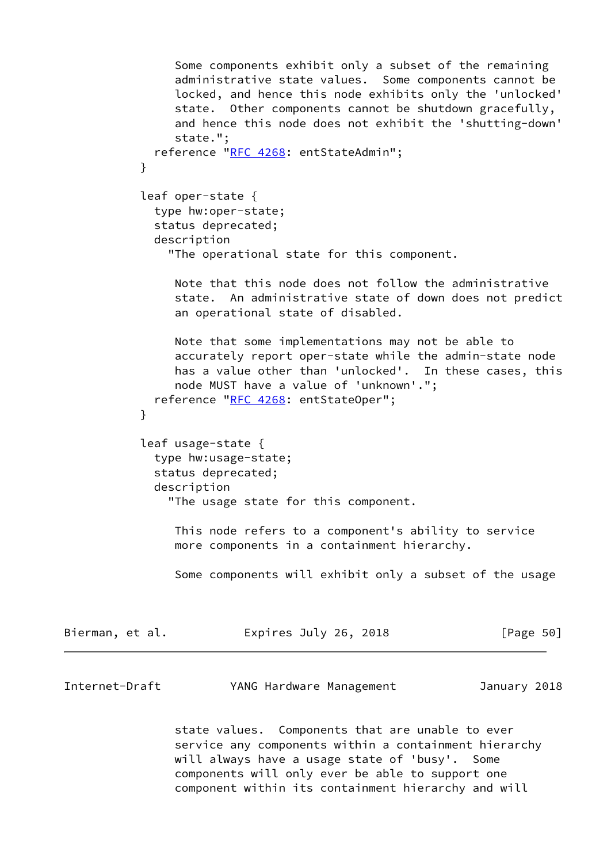```
 Some components exhibit only a subset of the remaining
                 administrative state values. Some components cannot be
                 locked, and hence this node exhibits only the 'unlocked'
                 state. Other components cannot be shutdown gracefully,
                 and hence this node does not exhibit the 'shutting-down'
                 state.";
              reference "RFC 4268: entStateAdmin";
 }
            leaf oper-state {
             type hw:oper-state;
             status deprecated;
             description
                "The operational state for this component.
                Note that this node does not follow the administrative
                 state. An administrative state of down does not predict
                an operational state of disabled.
                Note that some implementations may not be able to
                 accurately report oper-state while the admin-state node
                has a value other than 'unlocked'. In these cases, this
                 node MUST have a value of 'unknown'.";
            "RFC 4268: entStateOper";
 }
            leaf usage-state {
             type hw:usage-state;
             status deprecated;
             description
                "The usage state for this component.
                This node refers to a component's ability to service
                more components in a containment hierarchy.
                 Some components will exhibit only a subset of the usage
Bierman, et al.               Expires July 26, 2018               [Page 50]
Internet-Draft YANG Hardware Management January 2018
                state values. Components that are unable to ever
                 service any components within a containment hierarchy
```
 will always have a usage state of 'busy'. Some components will only ever be able to support one component within its containment hierarchy and will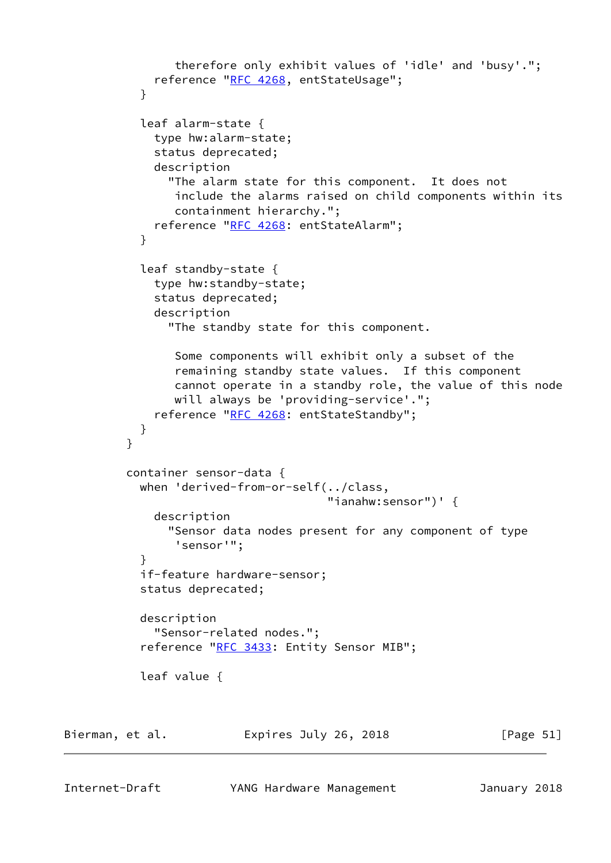```
 therefore only exhibit values of 'idle' and 'busy'.";
            "RFC 4268, entStateUsage";
 }
           leaf alarm-state {
             type hw:alarm-state;
             status deprecated;
             description
               "The alarm state for this component. It does not
                include the alarms raised on child components within its
                containment hierarchy.";
            "RFC 4268: entStateAlarm";
 }
           leaf standby-state {
             type hw:standby-state;
             status deprecated;
             description
               "The standby state for this component.
                Some components will exhibit only a subset of the
                remaining standby state values. If this component
                cannot operate in a standby role, the value of this node
                will always be 'providing-service'.";
            "RFC 4268: entStateStandby";
 }
         }
         container sensor-data {
           when 'derived-from-or-self(../class,
                                      "ianahw:sensor")' {
             description
               "Sensor data nodes present for any component of type
                'sensor'";
 }
           if-feature hardware-sensor;
           status deprecated;
           description
             "Sensor-related nodes.";
          RFC 3433: Entity Sensor MIB";
           leaf value {
Bierman, et al.               Expires July 26, 2018               [Page 51]
```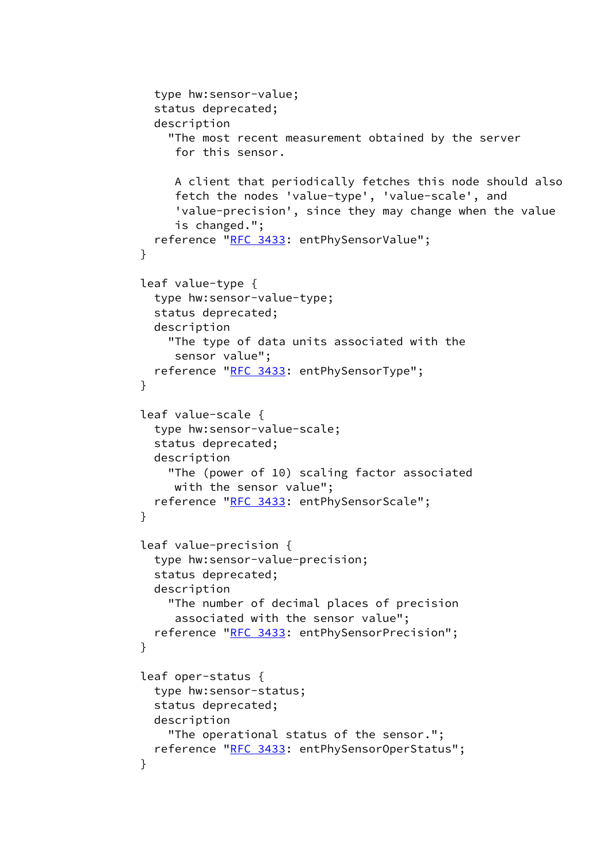```
 type hw:sensor-value;
             status deprecated;
             description
               "The most recent measurement obtained by the server
                for this sensor.
                A client that periodically fetches this node should also
                fetch the nodes 'value-type', 'value-scale', and
                'value-precision', since they may change when the value
                is changed.";
            "RFC 3433: entPhySensorValue";
 }
           leaf value-type {
             type hw:sensor-value-type;
             status deprecated;
             description
               "The type of data units associated with the
                sensor value";
            "RFC 3433: entPhySensorType";
 }
           leaf value-scale {
             type hw:sensor-value-scale;
             status deprecated;
             description
               "The (power of 10) scaling factor associated
                with the sensor value";
             reference "RFC 3433: entPhySensorScale";
 }
           leaf value-precision {
             type hw:sensor-value-precision;
             status deprecated;
             description
               "The number of decimal places of precision
                associated with the sensor value";
            "RFC 3433: entPhySensorPrecision";
 }
           leaf oper-status {
             type hw:sensor-status;
             status deprecated;
             description
               "The operational status of the sensor.";
            "RFC 3433: entPhySensorOperStatus";
 }
```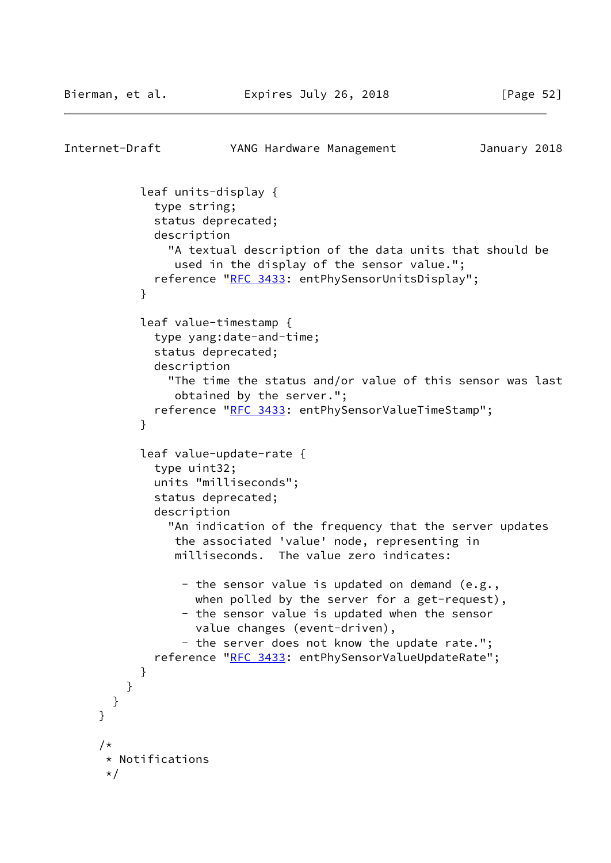```
Internet-Draft YANG Hardware Management January 2018
            leaf units-display {
              type string;
             status deprecated;
             description
                "A textual description of the data units that should be
                used in the display of the sensor value.";
             reference "RFC 3433: entPhySensorUnitsDisplay";
 }
           leaf value-timestamp {
             type yang:date-and-time;
             status deprecated;
             description
                "The time the status and/or value of this sensor was last
                obtained by the server.";
             reference "RFC 3433: entPhySensorValueTimeStamp";
 }
            leaf value-update-rate {
             type uint32;
             units "milliseconds";
             status deprecated;
             description
                "An indication of the frequency that the server updates
                the associated 'value' node, representing in
                milliseconds. The value zero indicates:
                - the sensor value is updated on demand (e.g.,
                  when polled by the server for a get-request),
                 - the sensor value is updated when the sensor
                   value changes (event-driven),
                  - the server does not know the update rate.";
             "RFC 3433: entPhySensorValueUpdateRate";
 }
         }
       }
     }
      /*
       * Notifications
      */
```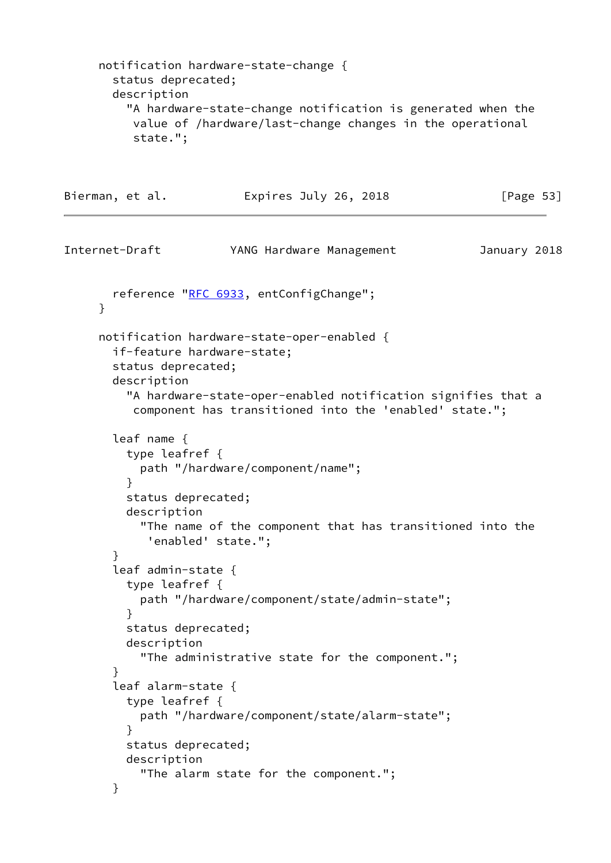```
 notification hardware-state-change {
       status deprecated;
       description
          "A hardware-state-change notification is generated when the
          value of /hardware/last-change changes in the operational
           state.";
Bierman, et al. Expires July 26, 2018 [Page 53]
Internet-Draft YANG Hardware Management January 2018
      RFC 6933, entConfigChange";
      }
     notification hardware-state-oper-enabled {
       if-feature hardware-state;
       status deprecated;
       description
          "A hardware-state-oper-enabled notification signifies that a
          component has transitioned into the 'enabled' state.";
       leaf name {
         type leafref {
           path "/hardware/component/name";
 }
         status deprecated;
         description
            "The name of the component that has transitioned into the
            'enabled' state.";
       }
       leaf admin-state {
         type leafref {
           path "/hardware/component/state/admin-state";
         }
         status deprecated;
         description
            "The administrative state for the component.";
        }
       leaf alarm-state {
         type leafref {
           path "/hardware/component/state/alarm-state";
 }
         status deprecated;
         description
            "The alarm state for the component.";
       }
```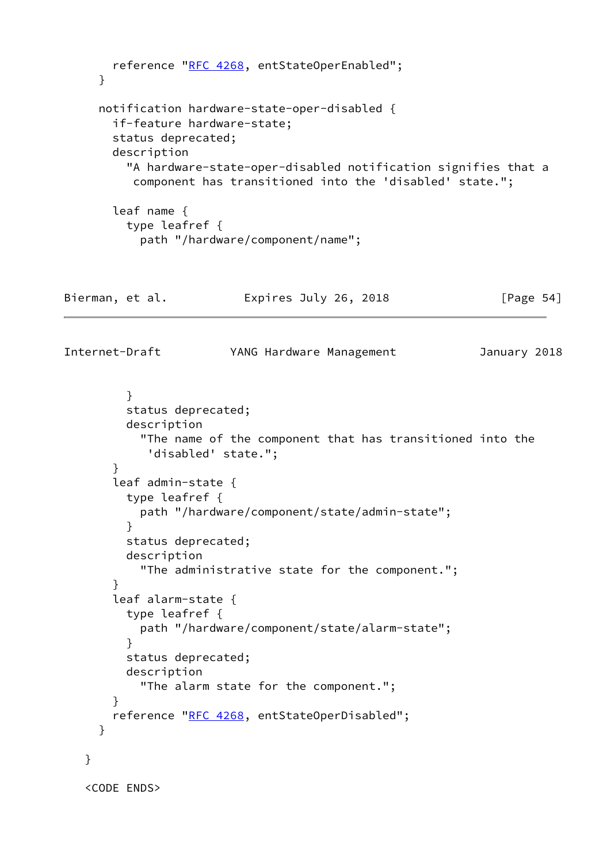```
 reference "RFC 4268, entStateOperEnabled";
      }
      notification hardware-state-oper-disabled {
        if-feature hardware-state;
        status deprecated;
        description
          "A hardware-state-oper-disabled notification signifies that a
           component has transitioned into the 'disabled' state.";
        leaf name {
          type leafref {
            path "/hardware/component/name";
Bierman, et al.             Expires July 26, 2018             [Page 54]
Internet-Draft YANG Hardware Management January 2018
          }
          status deprecated;
          description
            "The name of the component that has transitioned into the
             'disabled' state.";
        }
        leaf admin-state {
          type leafref {
            path "/hardware/component/state/admin-state";
          }
          status deprecated;
          description
            "The administrative state for the component.";
        }
        leaf alarm-state {
          type leafref {
            path "/hardware/component/state/alarm-state";
          }
          status deprecated;
          description
            "The alarm state for the component.";
        }
        reference "RFC 4268, entStateOperDisabled";
      }
    }
```

```
 <CODE ENDS>
```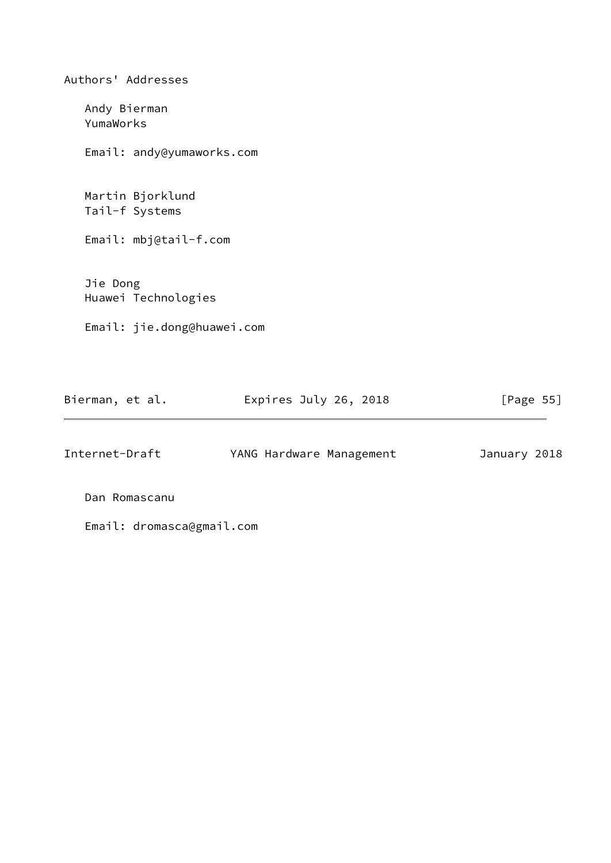Authors' Addresses Andy Bierman YumaWorks Email: andy@yumaworks.com Martin Bjorklund Tail-f Systems Email: mbj@tail-f.com Jie Dong Huawei Technologies Email: jie.dong@huawei.com

| Bierman, et al. | Expires July 26, 2018 | [Page 55] |  |
|-----------------|-----------------------|-----------|--|
|                 |                       |           |  |

| Internet-Draft | YANG Hardware Management | January 2018 |  |
|----------------|--------------------------|--------------|--|
|                |                          |              |  |

Dan Romascanu

Email: dromasca@gmail.com